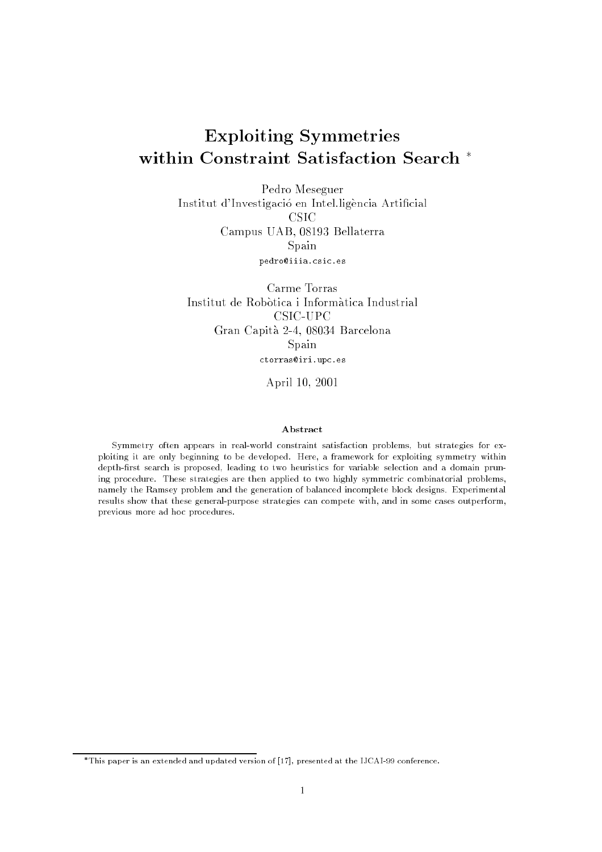# Exploiting Symmetries within Constraint Satisfaction Search

Pedro Meseguer Institut d'Investigació en Intel ligència Artificial **CSIC** Campus UAB, 08193 Bellaterra Spain pedro@iiia.csic.es

Carme Torras Institut de Roboti
a i Informati
a Industrial CSIC-UPC Gran Capita 2-4, 08034 Bar
elona Spain ctorras@iri.upc.es

April 10, 2001

#### Abstra
t

Symmetry often appears in real-world onstraint satisfa
tion problems, but strategies for exploiting it are only beginning to be developed. Here, a framework for exploiting symmetry within depth-first search is proposed, leading to two heuristics for variable selection and a domain pruning procedure. These strategies are then applied to two highly symmetric combinatorial problems, namely the Ramsey problem and the generation of balan
ed in
omplete blo
k designs. Experimental results show that these general-purpose strategies 
an 
ompete with, and in some 
ases outperform, previous more ad hoc procedures.

<sup>\*</sup> This paper is an extended and updated version of  $[17]$ , presented at the IJCAI-99 conference.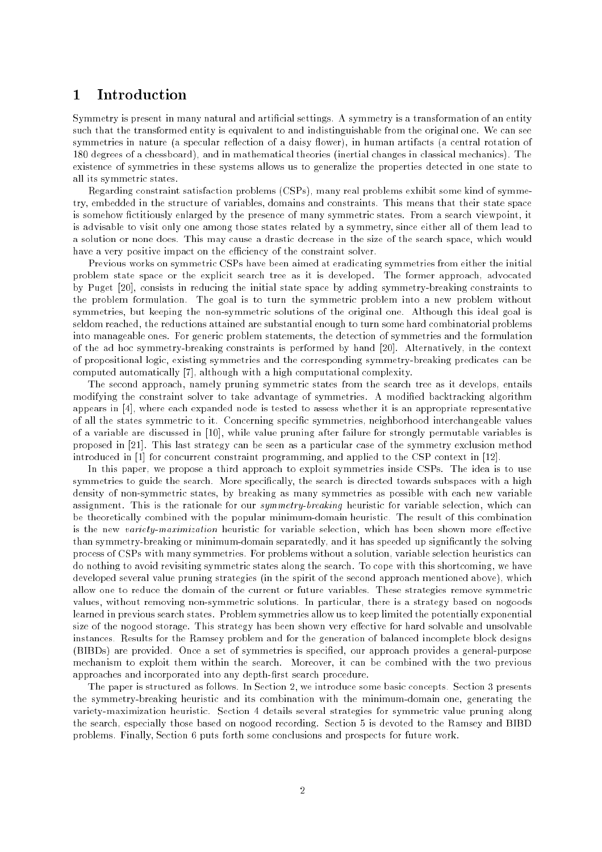## 1 Introduction

Symmetry is present in many natural and artificial settings. A symmetry is a transformation of an entity such that the transformed entity is equivalent to and indistinguishable from the original one. We can see symmetries in nature (a specular reflection of a daisy flower), in human artifacts (a central rotation of 180 degrees of a chessboard), and in mathematical theories (inertial changes in classical mechanics). The existence of symmetries in these systems allows us to generalize the properties detected in one state to all its symmetric states.

Regarding 
onstraint satisfa
tion problems (CSPs), many real problems exhibit some kind of symmetry, embedded in the structure of variables, domains and constraints. This means that their state space is somehow fictitiously enlarged by the presence of many symmetric states. From a search viewpoint, it is advisable to visit only one among those states related by a symmetry, sin
e either all of them lead to a solution or none does. This may cause a drastic decrease in the size of the search space, which would have a very positive impact on the efficiency of the constraint solver.

Previous works on symmetri
 CSPs have been aimed at eradi
ating symmetries from either the initial problem state space or the explicit search tree as it is developed. The former approach, advocated by Puget [20], consists in reducing the initial state space by adding symmetry-breaking constraints to the problem formulation. The goal is to turn the symmetri problem into a new problem without symmetries, but keeping the non-symmetric solutions of the original one. Although this ideal goal is seldom reached, the reductions attained are substantial enough to turn some hard combinatorial problems into manageable ones. For generic problem statements, the detection of symmetries and the formulation of the ad hoc symmetry-breaking constraints is performed by hand [20]. Alternatively, in the context of propositional logi
, existing symmetries and the 
orresponding symmetry-breaking predi
ates an be computed automatically [7], although with a high computational complexity.

The second approach, namely pruning symmetric states from the search tree as it develops, entails modifying the onstraint solver to take advantage of symmetries. A modied ba
ktra
king algorithm appears in [4], where each expanded node is tested to assess whether it is an appropriate representative of all the states symmetric to it. Concerning specific symmetries, neighborhood interchangeable values of a variable are discussed in [10], while value pruning after failure for strongly permutable variables is proposed in [21]. This last strategy can be seen as a particular case of the symmetry exclusion method introduced in [1] for concurrent constraint programming, and applied to the CSP context in [12].

In this paper, we propose a third approach to exploit symmetries inside CSPs. The idea is to use symmetries to guide the search. More specifically, the search is directed towards subspaces with a high density of non-symmetric states, by breaking as many symmetries as possible with each new variable assignment. This is the rationale for our *symmetry-breaking* heuristic for variable selection, which can be theoretically combined with the popular minimum-domain heuristic. The result of this combination is the new variety-maximization heuristic for variable selection, which has been shown more effective than symmetry-breaking or minimum-domain separatedly, and it has speeded up significantly the solving pro
ess of CSPs with many symmetries. For problems without a solution, variable sele
tion heuristi
s 
an do nothing to avoid revisiting symmetric states along the search. To cope with this shortcoming, we have developed several value pruning strategies (in the spirit of the second approach mentioned above), which allow one to redu
e the domain of the urrent or future variables. These strategies remove symmetri values, without removing non-symmetric solutions. In particular, there is a strategy based on nogoods learned in previous search states. Problem symmetries allow us to keep limited the potentially exponential size of the nogood storage. This strategy has been shown very effective for hard solvable and unsolvable instances. Results for the Ramsey problem and for the generation of balanced incomplete block designs (BIBDs) are provided. On
e a set of symmetries is spe
ied, our approa
h provides a general-purpose mechanism to exploit them within the search. Moreover, it can be combined with the two previous approaches and incorporated into any depth-first search procedure.

The paper is structured as follows. In Section 2, we introduce some basic concepts. Section 3 presents the symmetry-breaking heuristic and its combination with the minimum-domain one, generating the variety-maximization heuristi
. Se
tion 4 details several strategies for symmetri
 value pruning along the sear
h, espe
ially those based on nogood re
ording. Se
tion 5 is devoted to the Ramsey and BIBD problems. Finally, Section 6 puts forth some conclusions and prospects for future work.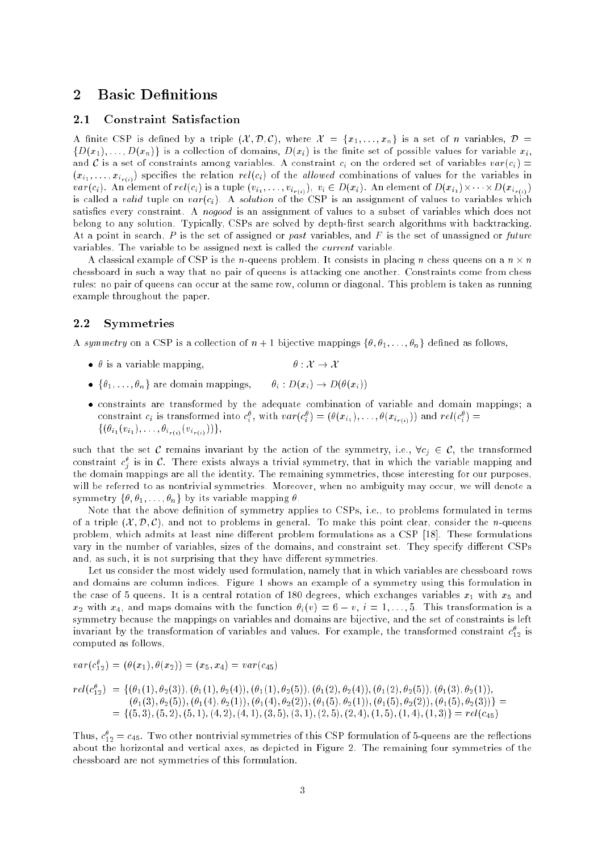## 2 Basic Definitions

#### Constraint Satisfaction  $2.1$

A finite CSP is defined by a triple  $(\mathcal{X}, \mathcal{D}, \mathcal{C})$ , where  $\mathcal{X} = \{x_1, \ldots, x_n\}$  is a set of *n* variables,  $\mathcal{D} =$  $\{D(x_1), \ldots, D(x_n)\}\$ is a collection of domains,  $D(x_i)$  is the finite set of possible values for variable  $x_i$ , and C is a set of constraints among variables. A constraint  $c_i$  on the ordered set of variables  $var(c_i)$  =  $\binom{w_{i_1},\ldots,w_{i_{r(i)}}}{r_{i_1}}$  of the relation  $\ldots$  also also to momentum of values for the values for  $\ldots$  $\mathcal{L}(\mathcal{L}_{i})$ . An element of rel( $\mathcal{L}_{i}$ ) is a tuple (vi1): : ; virtually  $\mathcal{L}_{i}$   $\mathcal{L}_{i}$ ), and element of  $D(\mathcal{L}_{i}$ <sub>i</sub>  $\mathcal{L}_{i}$ ) is a tuple (wi<sub>1</sub> is called a *valid* tuple on  $var(c_i)$ . A *solution* of the CSP is an assignment of values to variables which satisfies every constraint. A nogood is an assignment of values to a subset of variables which does not belong to any solution. Typically, CSPs are solved by depth-first search algorithms with backtracking. At a point in search, P is the set of assigned or past variables, and F is the set of unassigned or future variables. The variable to be assigned next is called the *current* variable.

al example of CSP is the n-queens problem. It is the n-queens on a n-queen in plant in plant in the state of t chessboard in such a way that no pair of queens is attacking one another. Constraints come from chess rules: no pair of queens can occur at the same row, column or diagonal. This problem is taken as running example throughout the paper.

### 2.2 Symmetries

A symmetry on a CSP is a collection of  $n+1$  bijective mappings  $\{\theta, \theta_1, \ldots, \theta_n\}$  defined as follows,

- is a variable mapping, which mapping is a variable mapping of  $\mathcal{X}$
- $\bullet$  { $\theta_1$ , ...,  $\theta_n$ } are domain mappings.  $\theta_i : D(x_i) \to D(\theta(x_i))$
- onstraints are transformed by the adequate ombination of variable and domain mappings; a constraint  $c_i$  is transformed into  $c_i$ , with  $var(c_i^*) = (v(x_{i_1}), \ldots, v(x_{i_{r(i)}}))$  and  $rev(c_i^*) =$  $f(x^2 + 1)(x^2 + 1)$

such that the set C remains invariant by the action of the symmetry, i.e.,  $\forall c_j \in C$ , the transformed constraint  $c_\lambda$  is in  ${\mathcal{C}}$ . There exists always a trivial symmetry, that in which the variable mapping and <sup>j</sup> the domain mappings are all the identity. The remaining symmetries, those interesting for our purposes, will be referred to as nontrivial symmetries. Moreover, when no ambiguity may occur, we will denote a symmetry  $\{\theta, \theta_1, \ldots, \theta_n\}$  by its variable mapping  $\theta$ .

Note that the above definition of symmetry applies to CSPs, i.e., to problems formulated in terms of a triple  $(\mathcal{X}, \mathcal{D}, \mathcal{C})$ , and not to problems in general. To make this point clear, consider the *n*-queens problem, which admits at least nine different problem formulations as a CSP [18]. These formulations vary in the number of variables, sizes of the domains, and constraint set. They specify different CSPs and, as such, it is not surprising that they have different symmetries.

Let us consider the most widely used formulation, namely that in which variables are chessboard rows and domains are olumn indi
es. Figure 1 shows an example of a symmetry using this formulation in the case of 5 queens. It is a central rotation of 180 degrees, which exchanges variables  $x_1$  with  $x_5$  and  $x_2$  with  $x_4$ , and maps domains with the function  $\theta_i(v) = 6 - v$ ,  $i = 1, ..., 5$ . This transformation is a symmetry because the mappings on variables and domains are bijective, and the set of constraints is left invariant by the transformation of variables and values. For example, the transformed constraint  $c_{\bar{1}2}$  is omputed as follows,

$$
var(c_{12}^{\theta}) = (\theta(x_1), \theta(x_2)) = (x_5, x_4) = var(c_{45})
$$

$$
\begin{array}{llll} rel(c_{12}^{\theta}) & = \{(\theta_1(1),\theta_2(3)),(\theta_1(1),\theta_2(4)),(\theta_1(1),\theta_2(5)),(\theta_1(2),\theta_2(4)),(\theta_1(2),\theta_2(5)),(\theta_1(3),\theta_2(1)), \\ & \quad (\theta_1(3),\theta_2(5)),(\theta_1(4),\theta_2(1)),(\theta_1(4),\theta_2(2)),(\theta_1(5),\theta_2(1)),(\theta_1(5),\theta_2(2)),(\theta_1(5),\theta_2(3))\} = \\ & = \{ (5,3), (5,2), (5,1), (4,2), (4,1), (3,5), (3,1), (2,5), (2,4), (1,5), (1,4), (1,3) \} = rel(c_{45}) \end{array}
$$

Thus,  $c_{12} = c_{45}$ . Two other nontrivial symmetries of this CSP formulation of 5-queens are the reflections about the horizontal and vertical axes, as depicted in Figure 2. The remaining four symmetries of the hessboard are not symmetries of this formulation.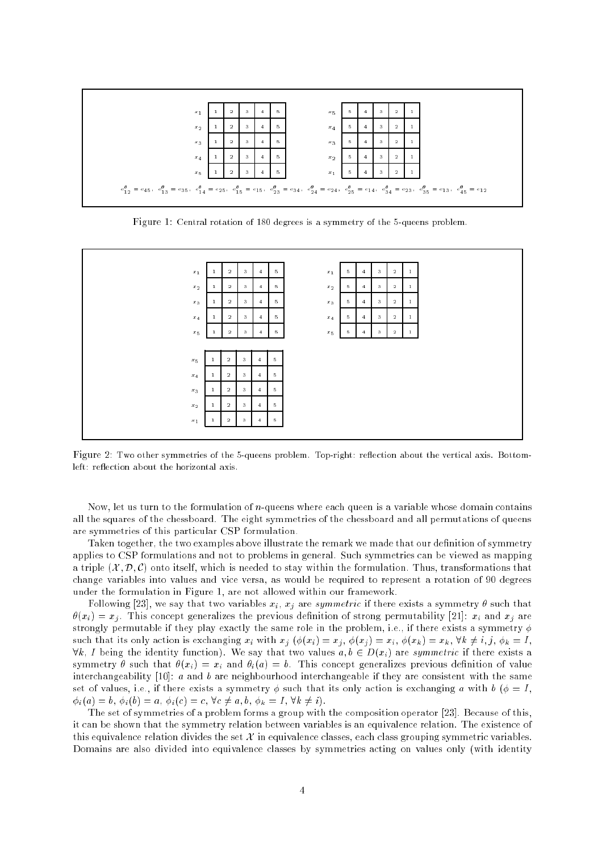

Figure 1: Central rotation of 180 degrees is a symmetry of the 5-queens problem.

| $x_1$              | -1           | $\,2\,$                 | 3            | $\overline{4}$ | 5               | $x_1$              | 5 | $\overline{4}$ | 3 | $\,2\,$ | $\mathbf{1}$ |
|--------------------|--------------|-------------------------|--------------|----------------|-----------------|--------------------|---|----------------|---|---------|--------------|
| $\boldsymbol{x}_2$ | -1           | $\,2\,$                 | $\mathbf{3}$ | $\overline{4}$ | 5               | $\boldsymbol{x}_2$ | 5 | $\overline{4}$ | 3 | $\,$ 2  | $\mathbf{1}$ |
| $x_3$              | $\mathbf{1}$ | $\overline{\mathbf{2}}$ | 3            | $\overline{4}$ | 5               | $x_3$              | 5 | $\overline{4}$ | 3 | $\,$ 2  | $\mathbf{1}$ |
| $x_{\,4}$          | -1           | $\,$ 2 $\,$             | $\mathbf{3}$ | $\overline{4}$ | 5               | $x_{4}$            | 5 | $\overline{4}$ | 3 | $\,2\,$ | $\mathbf{1}$ |
| $x_{\rm 5}$        | -1           | $\,2\,$                 | 3            | $\overline{4}$ | 5               | $x_{\rm 5}$        | 5 | $\overline{4}$ | 3 | $\,2\,$ | -1           |
|                    |              |                         |              |                |                 |                    |   |                |   |         |              |
| $x_{5}$            | 1            | $\,2\,$                 | 3            | $\overline{4}$ | $\mathbf 5$     |                    |   |                |   |         |              |
| $x_{\,4}$          | -1           | $\overline{2}$          | 3            | $\overline{4}$ | 5               |                    |   |                |   |         |              |
| $x_3$              | -1           | $\overline{2}$          | $\mathbf{3}$ | $\overline{4}$ | 5               |                    |   |                |   |         |              |
| $\boldsymbol{x}_2$ | -1           | $\overline{2}$          | $\mathbf{3}$ | $\overline{4}$ | 5               |                    |   |                |   |         |              |
| $x_{\,1}$          | 1            | $\,2\,$                 | 3            | $\overline{4}$ | $5\phantom{.0}$ |                    |   |                |   |         |              |

Figure 2: Two other symmetries of the 5-queens problem. Top-right: reflection about the vertical axis. Bottomleft: reflection about the horizontal axis.

Now, let us turn to the formulation of *n*-queens where each queen is a variable whose domain contains all the squares of the 
hessboard. The eight symmetries of the 
hessboard and all permutations of queens are symmetries of this particular CSP formulation.

Taken together, the two examples above illustrate the remark we made that our definition of symmetry applies to CSP formulations and not to problems in general. Su
h symmetries 
an be viewed as mapping a triple  $(\mathcal{X}, \mathcal{D}, \mathcal{C})$  onto itself, which is needed to stay within the formulation. Thus, transformations that hange variables into values and vi
e versa, as would be required to represent a rotation of 90 degrees under the formulation in Figure 1, are not allowed within our framework.

Following [23], we say that two variables  $x_i$ ,  $x_j$  are symmetric if there exists a symmetry  $\theta$  such that  $\theta(x_i) = x_i$ . This concept generalizes the previous definition of strong permutability [21]:  $x_i$  and  $x_j$  are strongly permutable if they play exactly the same role in the problem, i.e., if there exists a symmetry  $\phi$ such that its only action is exchanging  $x_i$  with  $x_j$   $(\phi(x_i) = x_j, \phi(x_j) = x_i, \phi(x_k) = x_k, \forall k \neq i, j, \phi_k = I$ ,  $\forall k, I$  being the identity function). We say that two values  $a, b \in D(x_i)$  are symmetric if there exists a symmetry  $\theta$  such that  $\theta(x_i) = x_i$  and  $\theta_i(a) = b$ . This concept generalizes previous definition of value interchangeability  $[10]$ : a and b are neighbourhood interchangeable if they are consistent with the same set of values, i.e., if there exists a symmetry  $\phi$  such that its only action is exchanging a with  $b \ (\phi = I)$ ,  $\phi_i(a) = b, \phi_i(b) = a, \phi_i(c) = c, \forall c \neq a, b, \phi_k = I, \forall k \neq i$ .

The set of symmetries of a problem forms a group with the composition operator [23]. Because of this, it can be shown that the symmetry relation between variables is an equivalence relation. The existence of this equivalence relation divides the set  $\mathcal X$  in equivalence classes, each class grouping symmetric variables. Domains are also divided into equivalence classes by symmetries acting on values only (with identity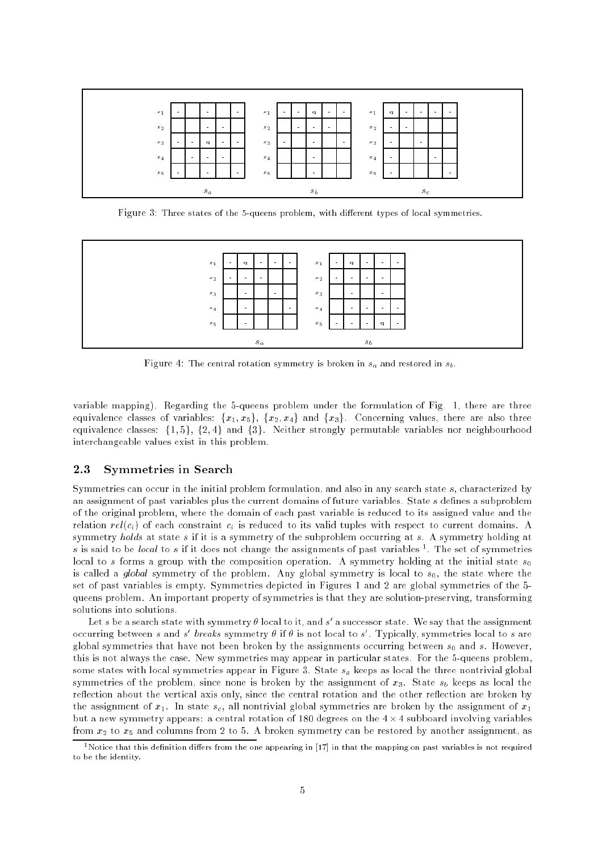

Figure 3: Three states of the 5-queens problem, with different types of local symmetries.



Figure 4: The central rotation symmetry is broken in  $s_a$  and restored in  $s_b$ .

variable mapping). Regarding the 5-queens problem under the formulation of Fig. 1, there are three equivalence classes of variables:  $\{x_1, x_5\}$ ,  $\{x_2, x_4\}$  and  $\{x_3\}$ . Concerning values, there are also three equivalence classes:  $\{1,5\}, \{2,4\}$  and  $\{3\}$ . Neither strongly permutable variables nor neighbourhood inter
hangeable values exist in this problem.

### 2.3 Symmetries in Sear
h

Symmetries can occur in the initial problem formulation, and also in any search state s, characterized by an assignment of past variables plus the current domains of future variables. State s defines a subproblem of the original problem, where the domain of each past variable is reduced to its assigned value and the relation  $rel(c_i)$  of each constraint  $c_i$  is reduced to its valid tuples with respect to current domains. A symmetry holds at state  $s$  if it is a symmetry of the subproblem occurring at  $s$ . A symmetry holding at s is said to be *tocat* to s if it does not change the assignments of past variables ". The set of symmetries local to s forms a group with the composition operation. A symmetry holding at the initial state  $s_0$ is called a *global* symmetry of the problem. Any global symmetry is local to  $s_0$ , the state where the set of past variables is empty. Symmetries depi
ted in Figures 1 and 2 are global symmetries of the 5 queens problem. An important property of symmetries is that they are solution-preserving, transforming solutions into solutions.

Let  $s$  be a search state with symmetry  $\sigma$  local to it, and  $s$  -a successor state. We say that the assignment occurring between  $s$  and  $s$  -*oreaks* symmetry  $\sigma$  if  $\sigma$  is not local to  $s$  . Typically, symmetries local to  $s$  are global symmetries that have not been broken by the assignments occurring between  $s_0$  and s. However, this is not always the 
ase. New symmetries may appear in parti
ular states. For the 5-queens problem, some states with local symmetries appear in Figure 3. State  $s_a$  keeps as local the three nontrivial global symmetries of the problem, since none is broken by the assignment of  $x_3$ . State  $s_b$  keeps as local the reflection about the vertical axis only, since the central rotation and the other reflection are broken by the assignment of  $x_1$ . In state  $s_c$ , all nontrivial global symmetries are broken by the assignment of  $x_1$ but a new symmetry appears: a 
entral rotation of 180 degrees on the 4 - 4 subboard involving variables from  $x_2$  to  $x_5$  and columns from 2 to 5. A broken symmetry can be restored by another assignment, as

<sup>&</sup>lt;sup>1</sup> Notice that this definition differs from the one appearing in [17] in that the mapping on past variables is not required to be the identity.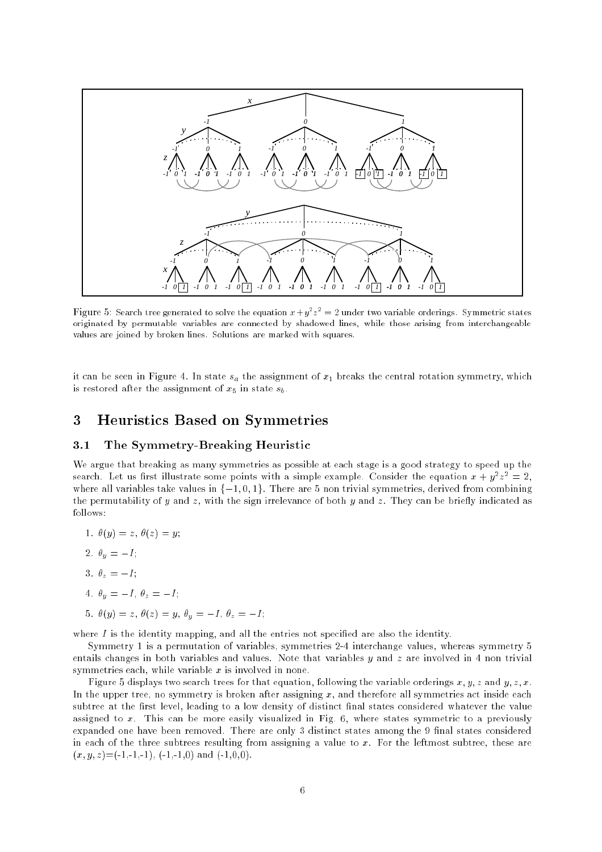

Figure 5: Search tree generated to solve the equation  $x+y^\ast z^\ast = 2$  under two variable orderings. Symmetric states originated by permutable variables are 
onne
ted by shadowed lines, while those arising from inter
hangeable values are joined by broken lines. Solutions are marked with squares.

it can be seen in Figure 4. In state  $s_a$  the assignment of  $x_1$  breaks the central rotation symmetry, which is restored after the assignment of  $x_5$  in state  $s_b$ .

## 3 Heuristi
s Based on Symmetries

### 3.1 The Symmetry-Breaking Heuristi

We argue that breaking as many symmetries as possible at each stage is a good strategy to speed up the search. Let us first illustrate some points with a simple example. Consider the equation  $x + y^\ast z^\ast = z$ , where all variables take values in  $\{-1, 0, 1\}$ . There are 5 non trivial symmetries, derived from combining the permutability of y and z, with the sign irrelevance of both y and z. They can be briefly indicated as follows:

- 1.  $\theta(y) = z, \theta(z) = y;$
- 2.  $\theta_y = -I$ ;
- 3.  $\theta_z = -I;$
- 4.  $\theta_y = -I$ ,  $\theta_z = -I$ ;
- 5.  $\theta(y) = z, \theta(z) = y, \theta_y = -I, \theta_z = -I;$

where  $I$  is the identity mapping, and all the entries not specified are also the identity.

Symmetry 1 is a permutation of variables, symmetries 2-4 inter
hange values, whereas symmetry 5 entails 
hanges in both variables and values. Note that variables <sup>y</sup> and <sup>z</sup> are involved in 4 non trivial symmetries each, while variable x is involved in none.

Figure 5 displays two search trees for that equation, following the variable orderings x, y, z and y, z, x. In the upper tree, no symmetry is broken after assigning  $x$ , and therefore all symmetries act inside each subtree at the first level, leading to a low density of distinct final states considered whatever the value assigned to  $x$ . This can be more easily visualized in Fig. 6, where states symmetric to a previously expanded one have been removed. There are only 3 distinct states among the 9 final states considered in ea
h of the three subtrees resulting from assigning a value to x. For the leftmost subtree, these are  $(x, y, z) = (-1,-1,-1), (-1,-1,0) \text{ and } (-1,0,0).$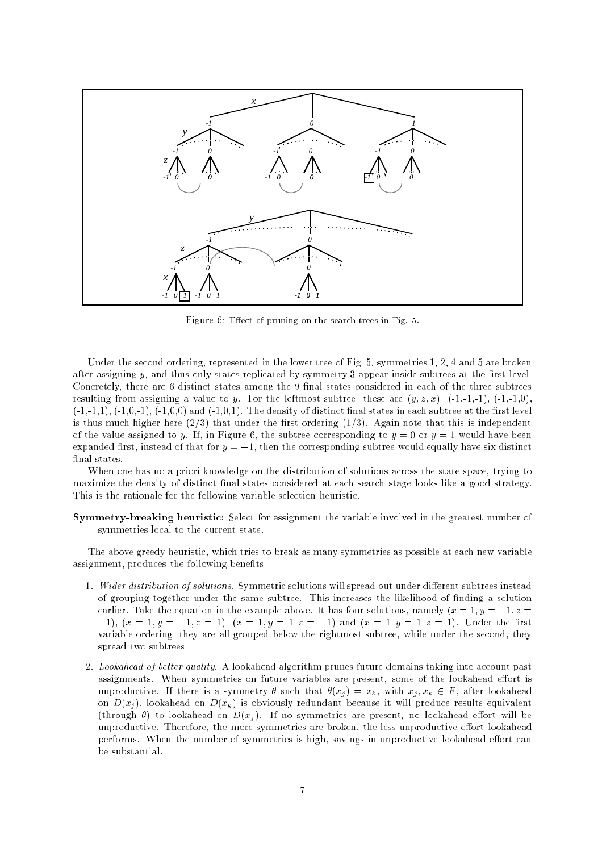

Figure 6: Effect of pruning on the search trees in Fig. 5.

Under the second ordering, represented in the lower tree of Fig. 5, symmetries 1, 2, 4 and 5 are broken after assigning  $y$ , and thus only states replicated by symmetry 3 appear inside subtrees at the first level. Concretely, there are 6 distinct states among the 9 final states considered in each of the three subtrees resulting from assigning a value to y. For the leftmost subtree, these are  $(y, z, x) = (-1, -1, -1, 0)$ ,  $(-1,-1,1), (-1,0,-1), (-1,0,0)$  and  $(-1,0,1)$ . The density of distinct final states in each subtree at the first level is thus much higher here  $(2/3)$  that under the first ordering  $(1/3)$ . Again note that this is independent of the value assigned to y. If, in Figure 6, the subtree corresponding to  $y = 0$  or  $y = 1$  would have been expanded first, instead of that for  $y = -1$ , then the corresponding subtree would equally have six distinct final states.

When one has no a priori knowledge on the distribution of solutions across the state space, trying to maximize the density of distinct final states considered at each search stage looks like a good strategy. This is the rationale for the following variable selection heuristic.

: selection in the variable involved in the variable involved in the variable in the greatest number of  $\sim$ symmetries lo
al to the 
urrent state.

The above greedy heuristic, which tries to break as many symmetries as possible at each new variable assignment, produces the following benefits,

- 1. Wider distribution of solutions. Symmetric solutions will spread out under different subtrees instead of grouping together under the same subtree. This in
reases the likelihood of nding a solution earlier. Take the equation in the example above. It has four solutions, namely  $(x = 1, y = -1, z =$  $(-1)$ ,  $(x = 1, y = -1, z = 1)$ ,  $(x = 1, y = 1, z = -1)$  and  $(x = 1, y = 1, z = 1)$ . Under the first variable ordering, they are all grouped below the rightmost subtree, while under the second, they spread two subtrees.
- 2. Lookahead of better quality. A lookahead algorithm prunes future domains taking into account past assignments. When symmetries on future variables are present, some of the lookahead effort is unproductive. If there is a symmetry  $\theta$  such that  $\theta(x_j) = x_k$ , with  $x_j, x_k \in F$ , after lookahead on  $D(x_i)$ , lookahead on  $D(x_k)$  is obviously redundant because it will produce results equivalent (through  $\theta$ ) to lookahead on  $D(x_i)$ . If no symmetries are present, no lookahead effort will be unproductive. Therefore, the more symmetries are broken, the less unproductive effort lookahead performs. When the number of symmetries is high, savings in unproductive lookahead effort can be substantial.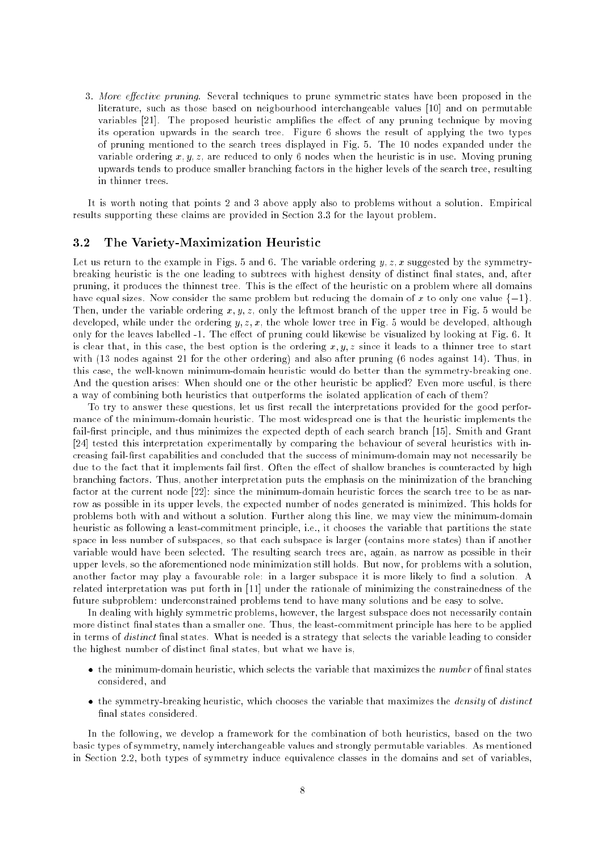3. More effective pruning. Several techniques to prune symmetric states have been proposed in the literature, such as those based on neigbourhood interchangeable values [10] and on permutable variables [21]. The proposed heuristic amplifies the effect of any pruning technique by moving its operation upwards in the sear
h tree. Figure 6 shows the result of applying the two types of pruning mentioned to the sear
h trees displayed in Fig. 5. The 10 nodes expanded under the variable ordering  $x, y, z$ , are reduced to only 6 nodes when the heuristic is in use. Moving pruning upwards tends to produce smaller branching factors in the higher levels of the search tree, resulting in thinner trees.

It is worth noting that points 2 and 3 above apply also to problems without a solution. Empirical results supporting these claims are provided in Section 3.3 for the layout problem.

#### 3.2 The Variety-Maximization Heuristi

Let us return to the example in Figs. 5 and 6. The variable ordering  $y, z, x$  suggested by the symmetrybreaking heuristic is the one leading to subtrees with highest density of distinct final states, and, after pruning, it produces the thinnest tree. This is the effect of the heuristic on a problem where all domains have equal sizes. Now consider the same problem but reducing the domain of x to only one value  $\{-1\}$ . Then, under the variable ordering  $x, y, z$ , only the leftmost branch of the upper tree in Fig. 5 would be developed, while under the ordering  $y, z, x$ , the whole lower tree in Fig. 5 would be developed, although only for the leaves labelled -1. The effect of pruning could likewise be visualized by looking at Fig. 6. It is clear that, in this case, the best option is the ordering  $x, y, z$  since it leads to a thinner tree to start with (13 nodes against 21 for the other ordering) and also after pruning (6 nodes against 14). Thus, in this case, the well-known minimum-domain heuristic would do better than the symmetry-breaking one. And the question arises: When should one or the other heuristi
 be applied? Even more useful, is there a way of combining both heuristics that outperforms the isolated application of each of them?

To try to answer these questions, let us first recall the interpretations provided for the good performance of the minimum-domain heuristic. The most widespread one is that the heuristic implements the fail-first principle, and thus minimizes the expected depth of each search branch [15]. Smith and Grant [24] tested this interpretation experimentally by comparing the behaviour of several heuristics with increasing fail-first capabilities and concluded that the success of minimum-domain may not necessarily be due to the fact that it implements fail first. Often the effect of shallow branches is counteracted by high bran
hing fa
tors. Thus, another interpretation puts the emphasis on the minimization of the bran
hing factor at the current node [22]: since the minimum-domain heuristic forces the search tree to be as narrow as possible in its upper levels, the expected number of nodes generated is minimized. This holds for problems both with and without a solution. Further along this line, we may view the minimum-domain heuristic as following a least-commitment principle, i.e., it chooses the variable that partitions the state space in less number of subspaces, so that each subspace is larger (contains more states) than if another variable would have been selected. The resulting search trees are, again, as narrow as possible in their upper levels, so the aforementioned node minimization still holds. But now, for problems with a solution, another factor may play a favourable role: in a larger subspace it is more likely to find a solution. A related interpretation was put forth in [11] under the rationale of minimizing the constrainedness of the future subproblem: underconstrained problems tend to have many solutions and be easy to solve.

In dealing with highly symmetric problems, however, the largest subspace does not necessarily contain more distinct final states than a smaller one. Thus, the least-commitment principle has here to be applied in terms of *distinct* final states. What is needed is a strategy that selects the variable leading to consider the highest number of distinct final states, but what we have is,

- , which the minimum-domain here when the variable that which may construct the states the number of the number onsidered, and
- the symmetry-breaking heuristics, which may be variable that maximizes the variable that maximizes the density final states considered.

In the following, we develop a framework for the combination of both heuristics, based on the two basi
 types of symmetry, namely inter
hangeable values and strongly permutable variables. As mentioned in Se
tion 2.2, both types of symmetry indu
e equivalen
e 
lasses in the domains and set of variables,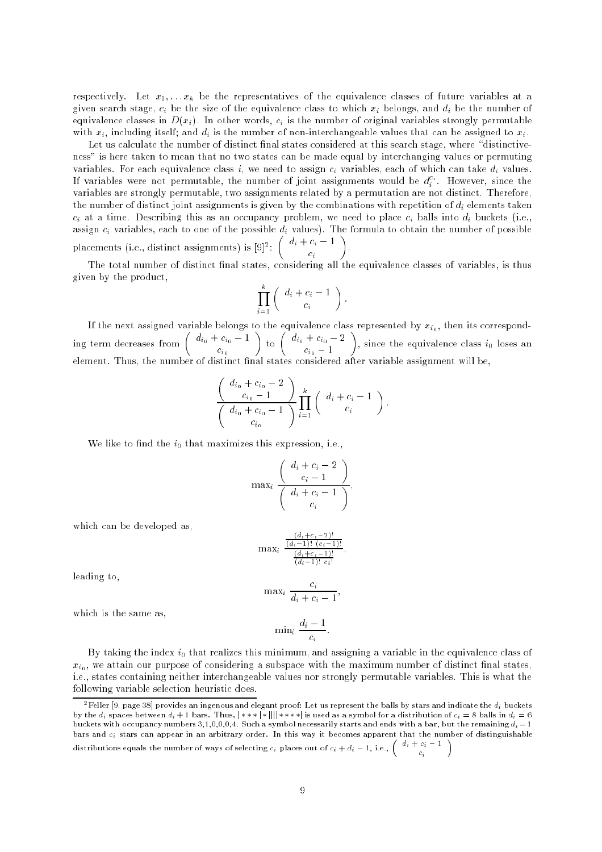respectively. Let  $x_1, \ldots x_k$  be the representatives of the equivalence classes of future variables at a given search stage,  $c_i$  be the size of the equivalence class to which  $x_i$  belongs, and  $d_i$  be the number of equivalence classes in  $D(x_i)$ . In other words,  $c_i$  is the number of original variables strongly permutable with  $x_i$ , including itself; and  $d_i$  is the number of non-interchangeable values that can be assigned to  $x_i$ .

Let us calculate the number of distinct final states considered at this search stage, where "distinctiveness" is here taken to mean that no two states 
an be made equal by inter
hanging values or permuting variables. For each equivalence class i, we need to assign  $c_i$  variables, each of which can take  $d_i$  values. If variables were not permutable, the number of joint assignments would be  $d_i^{\ast}$  . However, since the variables are strongly permutable, two assignments related by a permutation are not distin
t. Therefore, the number of distinct joint assignments is given by the combinations with repetition of  $d_i$  elements taken  $c_i$  at a time. Describing this as an occupancy problem, we need to place  $c_i$  balls into  $d_i$  buckets (i.e., assign  $c_i$  variables, each to one of the possible  $d_i$  values). The formula to obtain the number of possible placements (i.e., distinct assignments) is  $|9|$  :  $\int d_i + c_i - 1$  $\sim$ 

 $\kappa$ The total number of distinct final states, considering all the equivalence classes of variables, is thus given by the produ
t,

$$
\prod_{i=1}^k \left( \begin{array}{c} d_i + c_i - 1 \\ c_i \end{array} \right).
$$

 $\frac{1}{2}$  and the extreme setting to the equivalence of  $\frac{d_{i_0} + c_{i_0} - 1}{d_{i_0} + c_{i_0} - 2}$ , since the equivalence class in loses and i0  $\bigg\}$  to  $\bigg( d_{i_0} + c_{i_0} - 2 \bigg)$  $\overline{\phantom{0}}$   $\overline{\phantom{0}}$   $\overline{\phantom{0}}$   $\overline{\phantom{0}}$   $\overline{\phantom{0}}$   $\overline{\phantom{0}}$   $\overline{\phantom{0}}$   $\overline{\phantom{0}}$   $\overline{\phantom{0}}$   $\overline{\phantom{0}}$   $\overline{\phantom{0}}$   $\overline{\phantom{0}}$   $\overline{\phantom{0}}$   $\overline{\phantom{0}}$   $\overline{\phantom{0}}$   $\overline{\phantom{0}}$   $\overline{\phantom{0}}$   $\overline{\phantom{0}}$   $\overline{\$  $\sim$ , sin
e the equivalen
e 
lass i0 loses an element. Thus, the number of distin
t nal states 
onsidered after variable assignment will be,

$$
\frac{\left(\begin{array}{c} d_{i_0} + c_{i_0} - 2 \\ c_{i_0} - 1 \end{array}\right)}{\left(\begin{array}{c} d_{i_0} + c_{i_0} - 1 \\ c_{i_0} \end{array}\right)} \prod_{i=1}^k \left(\begin{array}{c} d_i + c_i - 1 \\ c_i \end{array}\right).
$$

We like to find the  $i_0$  that maximizes this expression, i.e.,

$$
\max_{i} \frac{\left(\begin{array}{c} d_i + c_i - 2\\ c_i - 1 \end{array}\right)}{\left(\begin{array}{c} d_i + c_i - 1\\ c_i \end{array}\right)},
$$

which can be developed as,

$$
\max_{i} \frac{\frac{(d_i + c_i - 2)!}{(d_i - 1)! (c_i - 1)!}}{\frac{(d_i + c_i - 1)!}{(d_i - 1)! (d_i - 1)!}}
$$

$$
\max_i \frac{c_i}{d_i + c_i - 1},
$$

 $i = i - i - i$ 

;

 $\sim$  z

which is the same as,

leading to,

$$
\min_i \frac{d_i - 1}{c_i}.
$$

By taking the index  $i_0$  that realizes this minimum, and assigning a variable in the equivalence class of  $x_{i_0}$ , we attain our purpose of considering a subspace with the maximum number of distinct final states, i.e., states 
ontaining neither inter
hangeable values nor strongly permutable variables. This is what the following variable sele
tion heuristi
 does.

<sup>&</sup>lt;sup>2</sup>Feller [9, page 38] provides an ingenous and elegant proof: Let us represent the balls by stars and indicate the  $d_i$  buckets by the  $d_i$  spaces between  $d_i + 1$  bars. Thus,  $\| \ast \ast \ast \|$  is used as a symbol for a distribution of  $c_i = 8$  balls in  $d_i = 6$ buckets with occupancy numbers 3,1,0,0,0,4. Such a symbol necessarily starts and ends with a bar, but the remaining  $d_i - 1$ bars and i stars 
an appear in an arbitrary order. In this way it be
omes apparent that the number of distinguishable distributions equals the number of ways of selecting  $c_i$  places out of  $c_i + d_i - 1$ , i.e.,  $\int_{-1}^{1} \, d_i + c_i - 1$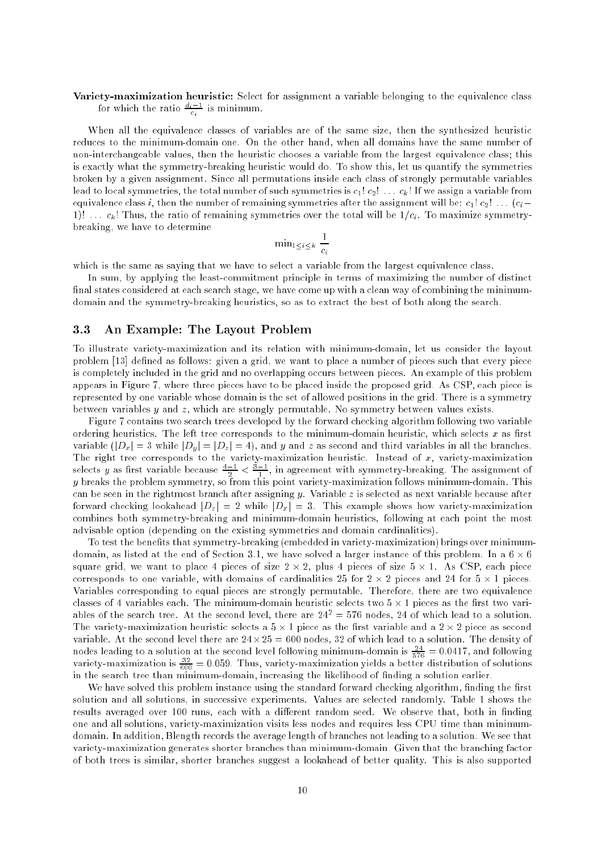### Variety-maximization heuristi
: Sele
t for assignment a variable belonging to the equivalen
e 
lass for which the ratio  $\frac{d}{c_i}$  is minimum.

When all the equivalence classes of variables are of the same size, then the synthesized heuristic redu
es to the minimum-domain one. On the other hand, when all domains have the same number of non-interchangeable values, then the heuristic chooses a variable from the largest equivalence class; this is exa
tly what the symmetry-breaking heuristi
 would do. To show this, let us quantify the symmetries broken by a given assignment. Sin
e all permutations inside ea
h 
lass of strongly permutable variables lead to local symmetries, the total number of such symmetries is  $c_1! c_2! \ldots c_k!$  If we assign a variable from equivalence class i, then the number of remaining symmetries after the assignment will be:  $c_1$ !  $c_2$ ! ...  $(c_i -$ 1)! ...  $c_k$ ! Thus, the ratio of remaining symmetries over the total will be  $1/c_i$ . To maximize symmetrybreaking, we have to determine

$$
\min_{1 \le i \le k} \frac{1}{c_i}
$$

which is the same as saying that we have to select a variable from the largest equivalence class.

In sum, by applying the least-commitment principle in terms of maximizing the number of distinct final states considered at each search stage, we have come up with a clean way of combining the minimumdomain and the symmetry-breaking heuristics, so as to extract the best of both along the search.

#### $3.3$ An Example: The Layout Problem

To illustrate variety-maximization and its relation with minimum-domain, let us onsider the layout problem [13] defined as follows: given a grid, we want to place a number of pieces such that every piece is completely included in the grid and no overlapping occurs between pieces. An example of this problem appears in Figure 7, where three pie
es have to be pla
ed inside the proposed grid. As CSP, ea
h pie
e is represented by one variable whose domain is the set of allowed positions in the grid. There is a symmetry between variables  $y$  and  $z$ , which are strongly permutable. No symmetry between values exists.

Figure 7 contains two search trees developed by the forward checking algorithm following two variable ordering heuristics. The left tree corresponds to the minimum-domain heuristic, which selects  $x$  as first variable  $(|D_x| = 3$  while  $|D_y| = |D_z| = 4$ , and y and z as second and third variables in all the branches The right tree corresponds to the variety-maximization heuristic. Instead of  $x$ , variety-maximization selects y as first variable because  $\frac{1}{2} < \frac{1}{1}$ , in agreement with symmetry-breaking. The assignment of <sup>y</sup> breaks the problem symmetry, so from this point variety-maximization follows minimum-domain. This can be seen in the rightmost branch after assigning y. Variable z is selected as next variable because after forward checking lookahead  $|D_z| = 2$  while  $|D_x| = 3$ . This example shows how variety-maximization combines both symmetry-breaking and minimum-domain heuristics, following at each point the most advisable option (depending on the existing symmetries and domain 
ardinalities).

To test the benefits that symmetry-breaking (embedded in variety-maximization) brings over minimumdomain, we have a we the end of Section sixt we have solved a larger motation of this problem. In a 6 - 6 - 6 equare grid, we want to piace I piece of size 2 via piac I piaces of size 3 will like CSI, casif piece corresponds to one variable, with dominime of extensiveles so for s with street of with the precedi Variables corresponding to equal pieces are strongly permutable. Therefore, there are two equivalence lasses of 4 variables ea
h. The minimum-domain heuristi
 sele
ts two 5 - 1 pie
es as the rst two variables of the search tree. At the second level, there are  $24^2 = 576$  nodes, 24 of which lead to a solution. the variety-maximization heuristics addition of the piece and the selection of the piece and accepted variable. At the second level there are  $24 \times 25 = 600$  nodes, 32 of which lead to a solution. The density of nodes leading to a solution at the second level following minimum-domain is  $\frac{24}{576} = 0.0417$ , and following<br>variety-maximization is  $\frac{32}{600} = 0.059$ . Thus, variety-maximization yields a better distribution of solut in the search tree than minimum-domain, increasing the likelihood of finding a solution earlier.

We have solved this problem instance using the standard forward checking algorithm, finding the first solution and all solutions, in successive experiments. Values are selected randomly. Table 1 shows the results averaged over 100 runs, each with a different random seed. We observe that, both in finding one and all solutions, variety-maximization visits less nodes and requires less CPU time than minimumdomain. In addition, Blength re
ords the average length of bran
hes not leading to a solution. We see that variety-maximization generates shorter branches than minimum-domain. Given that the branching factor of both trees is similar, shorter bran
hes suggest a lookahead of better quality. This is also supported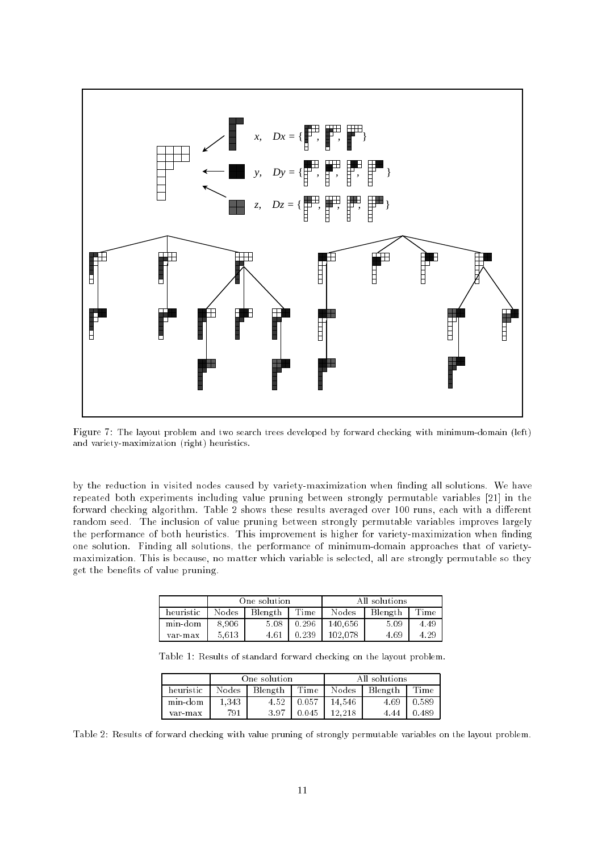

Figure 7: The layout problem and two search trees developed by forward checking with minimum-domain (left) and variety-maximization (right) heuristi
s.

by the reduction in visited nodes caused by variety-maximization when finding all solutions. We have repeated both experiments including value pruning between strongly permutable variables [21] in the forward checking algorithm. Table 2 shows these results averaged over 100 runs, each with a different random seed. The inclusion of value pruning between strongly permutable variables improves largely the performance of both heuristics. This improvement is higher for variety-maximization when finding one solution. Finding all solutions, the performan
e of minimum-domain approa
hes that of varietymaximization. This is be
ause, no matter whi
h variable is sele
ted, all are strongly permutable so they get the benefits of value pruning.

|           |       | One solution |       | All solutions |         |      |  |  |
|-----------|-------|--------------|-------|---------------|---------|------|--|--|
| heuristic | Nodes | Blength      | Time  | Nodes         | Blength | Time |  |  |
| min-dom   | 8.906 | 5.08         | 0.296 | 140.656       | 5.09    | 4.49 |  |  |
| var-max   | 5.613 | 4.61         | 0.239 | 102.078       | 4.69    | 429  |  |  |

Table 1: Results of standard forward checking on the layout problem.

|           |       | One solution |       | All solutions |         |       |  |  |
|-----------|-------|--------------|-------|---------------|---------|-------|--|--|
| heuristic | Nodes | Blength      | Time  | Nodes         | Blength | Time  |  |  |
| min-dom   | 1.343 | 4.52         | 0.057 | 14.546        | 4.69    | 0.589 |  |  |
| var-max   | 791   | 3.97         | O 045 |               | 4.44    | 489   |  |  |

Table 2: Results of forward 
he
king with value pruning of strongly permutable variables on the layout problem.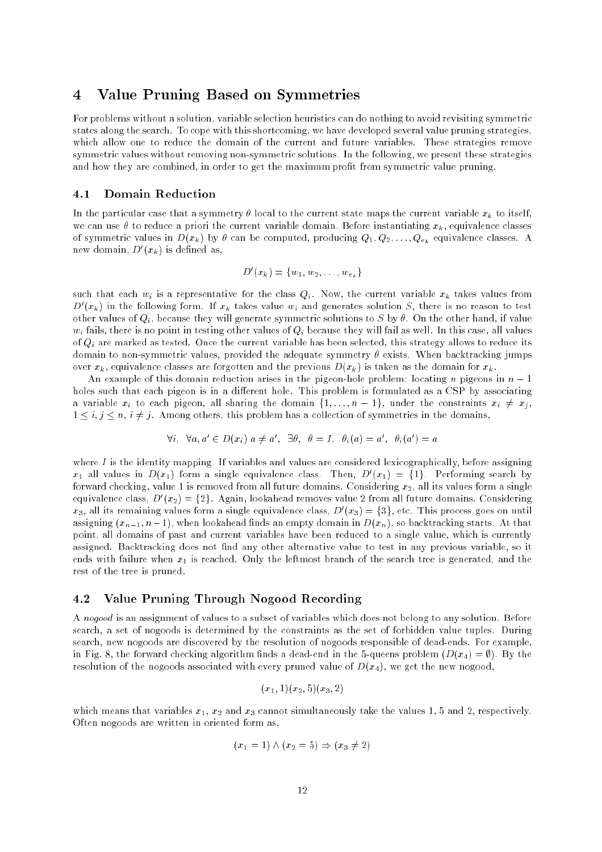## 4 Value Pruning Based on Symmetries

For problems without a solution, variable selection heuristics can do nothing to avoid revisiting symmetric states along the sear
h. To 
ope with this short
oming, we have developed several value pruning strategies, which allow one to reduce the domain of the current and future variables. These strategies remove symmetric values without removing non-symmetric solutions. In the following, we present these strategies and how they are combined, in order to get the maximum profit from symmetric value pruning.

### 4.1 Domain Redu
tion

In the particular case that a symmetry  $\theta$  local to the current state maps the current variable  $x_k$  to itself, we can use  $\theta$  to reduce a priori the current variable domain. Before instantiating  $x_k$ , equivalence classes of symmetric values in  $D(x_k)$  by  $\theta$  can be computed, producing  $Q_1, Q_2, \ldots, Q_{e_k}$  equivalence classes. A new domain,  $\nu$  ( $x_k$ ) is delined as,

$$
D'(x_k) = \{w_1, w_2, \ldots, w_{e_k}\}\
$$

such that each  $w_i$  is a representative for the class  $Q_i$ . Now, the current variable  $x_k$  takes values from  $D^{\epsilon}(x_{k})$  in the following form. If  $x_{k}$  takes value  $w_{i}$  and generates solution  $S$ , there is no reason to test other values of  $Q_i$ , because they will generate symmetric solutions to S by  $\theta$ . On the other hand, if value  $w_i$  fails, there is no point in testing other values of  $Q_i$  because they will fail as well. In this case, all values of  $Q_i$  are marked as tested. Once the current variable has been selected, this strategy allows to reduce its domain to non-symmetric values, provided the adequate symmetry  $\theta$  exists. When backtracking jumps over  $x_k$ , equivalence classes are forgotten and the previous  $D(x_k)$  is taken as the domain for  $x_k$ .

An example of this domain reduction arises in the pigeon-hole problem: locating n pigeons in  $n-1$ holes such that each pigeon is in a different hole. This problem is formulated as a CSP by associating a variable  $x_i$  to each pigeon, all sharing the domain  $\{1, \ldots, n-1\}$ , under the constraints  $x_i \neq x_j$ ,  $1 \le i, j \le n, i \ne j$ . Among others, this problem has a collection of symmetries in the domains,

$$
\forall i, \ \forall a, a' \in D(x_i) \ a \neq a', \ \exists \theta, \ \theta = I, \ \theta_i(a) = a', \ \theta_i(a') = a
$$

where  $I$  is the identity mapping. If variables and values are considered lexicographically, before assigning  $x_1$  all values in  $D(x_1)$  form a single equivalence class. Then,  $D^{\cdot}(x_1) = \{1\}$ . Performing search by forward checking, value 1 is removed from all future domains. Considering  $x_2$ , all its values form a single equivalence class,  $D^-(x_2) \equiv \{2\}$ . Again, lookahead removes value 2 from all future domains. Considering  $x_3$ , an its remaining values form a single equivalence class,  $D^-(x_3) = \{3\}$ , etc. This process goes on until assigning  $(x_{n-1}, n-1)$ , when lookahead finds an empty domain in  $D(x_n)$ , so backtracking starts. At that point, all domains of past and current variables have been reduced to a single value, which is currently assigned. Backtracking does not find any other alternative value to test in any previous variable, so it ends with failure when  $x_1$  is reached. Only the leftmost branch of the search tree is generated, and the rest of the tree is pruned.

### 4.2 Value Pruning Through Nogood Recording

A nogood is an assignment of values to a subset of variables whi
h does not belong to any solution. Before sear
h, a set of nogoods is determined by the onstraints as the set of forbidden value tuples. During search, new nogoods are discovered by the resolution of nogoods responsible of dead-ends. For example, in Fig. 8, the forward checking algorithm finds a dead-end in the 5-queens problem  $(D(x_4) = \emptyset)$ . By the resolution of the nogoods associated with every pruned value of  $D(x_4)$ , we get the new nogood,

$$
(x_1, 1)(x_2, 5)(x_3, 2)
$$

which means that variables  $x_1$ ,  $x_2$  and  $x_3$  cannot simultaneously take the values 1, 5 and 2, respectively. Often nogoods are written in oriented form as,

$$
(x_1 = 1) \land (x_2 = 5) \Rightarrow (x_3 \neq 2)
$$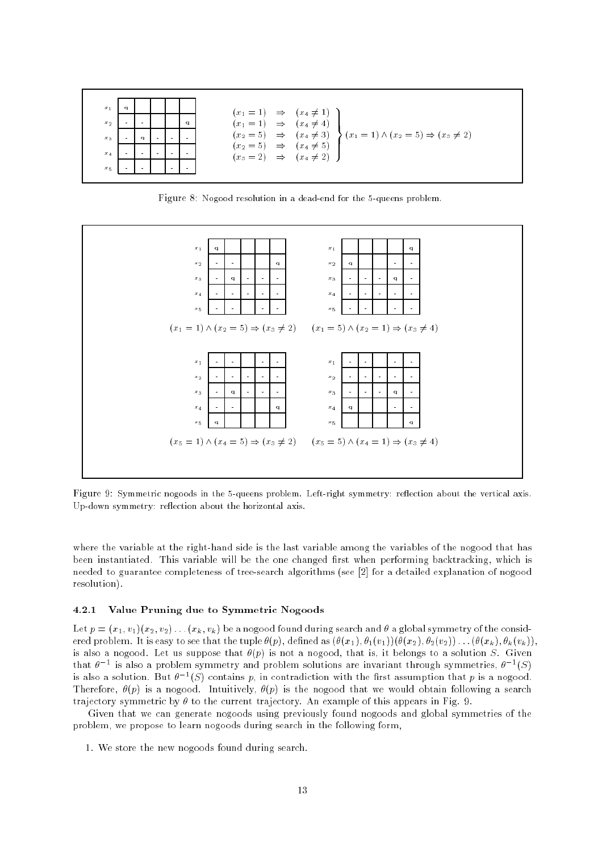

Figure 8: Nogood resolution in a dead-end for the 5-queens problem.



Figure 9: Symmetric nogoods in the 5-queens problem. Left-right symmetry: reflection about the vertical axis. Up-down symmetry: reflection about the horizontal axis.

where the variable at the right-hand side is the last variable among the variables of the nogood that has been instantiated. This variable will be the one changed first when performing backtracking, which is needed to guarantee completeness of tree-search algorithms (see [2] for a detailed explanation of nogood resolution).

#### 4.2.1 Value Pruning due to Symmetri
 Nogoods

Let  $p = (x_1, v_1)(x_2, v_2) \ldots (x_k, v_k)$  be a nogood found during search and  $\theta$  a global symmetry of the considered problem. It is easy to see that the tuple  $\theta(p)$ , defined as  $(\theta(x_1), \theta_1(v_1))(\theta(x_2), \theta_2(v_2)) \dots (\theta(x_k), \theta_k(v_k)),$ is also a nogood. Let us suppose that  $\theta(p)$  is not a nogood, that is, it belongs to a solution S. Given that  $\theta$  – is also a problem symmetry and problem solutions are invariant through symmetries,  $\theta$  –(b) is also a solution. But  $\theta^{-1}(\mathcal{S})$  contains  $p$ , in contradiction with the first assumption that  $p$  is a nogood. Therefore,  $\theta(p)$  is a nogood. Intuitively,  $\theta(p)$  is the nogood that we would obtain following a search trajectory symmetric by  $\theta$  to the current trajectory. An example of this appears in Fig. 9.

Given that we an generate nogoods using previously found nogoods and global symmetries of the problem, we propose to learn nogoods during sear
h in the following form,

1. We store the new nogoods found during sear
h.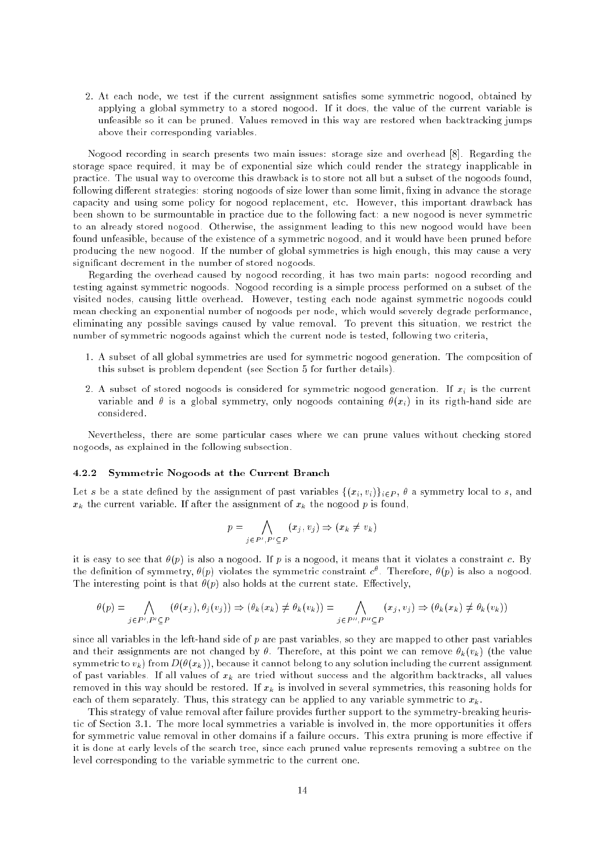2. At each node, we test if the current assignment satisfies some symmetric nogood, obtained by applying a global symmetry to a stored nogood. If it does, the value of the current variable is unfeasible so it can be pruned. Values removed in this way are restored when backtracking jumps above their 
orresponding variables.

Nogood recording in search presents two main issues: storage size and overhead [8]. Regarding the storage space required, it may be of exponential size which could render the strategy inapplicable in pra
ti
e. The usual way to over
ome this drawba
k is to store not all but a subset of the nogoods found, following different strategies: storing nogoods of size lower than some limit, fixing in advance the storage capacity and using some policy for nogood replacement, etc. However, this important drawback has been shown to be surmountable in practice due to the following fact: a new nogood is never symmetric to an already stored nogood. Otherwise, the assignment leading to this new nogood would have been found unfeasible, because of the existence of a symmetric nogood, and it would have been pruned before producing the new nogood. If the number of global symmetries is high enough, this may cause a very significant decrement in the number of stored nogoods.

Regarding the overhead caused by nogood recording, it has two main parts: nogood recording and testing against symmetri
 nogoods. Nogood re
ording is a simple pro
ess performed on a subset of the visited nodes, causing little overhead. However, testing each node against symmetric nogoods could mean 
he
king an exponential number of nogoods per node, whi
h would severely degrade performan
e, eliminating any possible savings caused by value removal. To prevent this situation, we restrict the number of symmetric nogoods against which the current node is tested, following two criteria,

- 1. A subset of all global symmetries are used for symmetri
 nogood generation. The 
omposition of this subset is problem dependent (see Section 5 for further details).
- 2. A subset of stored nogoods is considered for symmetric nogood generation. If  $x_i$  is the current variable and  $\theta$  is a global symmetry, only nogoods containing  $\theta(x_i)$  in its rigth-hand side are onsidered.

Nevertheless, there are some particular cases where we can prune values without checking stored nogoods, as explained in the following subse
tion.

#### 4.2.2 Symmetri
 Nogoods at the Current Bran
h

Let s be a state defined by the assignment of past variables  $\{(x_i, v_i)\}_{i\in P}$ ,  $\theta$  a symmetry local to s, and  $x_k$  the current variable. If after the assignment of  $x_k$  the nogood p is found,

$$
p = \bigwedge_{j \in P', P' \subseteq P} (x_j, v_j) \Rightarrow (x_k \neq v_k)
$$

it is easy to see that  $\theta(p)$  is also a nogood. If p is a nogood, it means that it violates a constraint c. By the definition of symmetry,  $\sigma(p)$  violates the symmetric constraint  $c$  . Therefore,  $\sigma(p)$  is also a nogood. The interesting point is that  $\theta(p)$  also holds at the current state. Effectively,

$$
\theta(p) = \bigwedge_{j \in P', P' \subseteq P} (\theta(x_j), \theta_j(v_j)) \Rightarrow (\theta_k(x_k) \neq \theta_k(v_k)) = \bigwedge_{j \in P'', P'' \subseteq P} (x_j, v_j) \Rightarrow (\theta_k(x_k) \neq \theta_k(v_k))
$$

sin
e all variables in the left-hand side of <sup>p</sup> are past variables, so they are mapped to other past variables and their assignments are not changed by  $\theta$ . Therefore, at this point we can remove  $\theta_k(v_k)$  (the value symmetric to  $v_k$ ) from  $D(\theta(x_k))$ , because it cannot belong to any solution including the current assignment of past variables. If all values of  $x_k$  are tried without success and the algorithm backtracks, all values removed in this way should be restored. If  $x_k$  is involved in several symmetries, this reasoning holds for each of them separately. Thus, this strategy can be applied to any variable symmetric to  $x_k$ .

This strategy of value removal after failure provides further support to the symmetry-breaking heuristic of Section 3.1. The more local symmetries a variable is involved in, the more opportunities it offers for symmetric value removal in other domains if a failure occurs. This extra pruning is more effective if it is done at early levels of the search tree, since each pruned value represents removing a subtree on the level corresponding to the variable symmetric to the current one.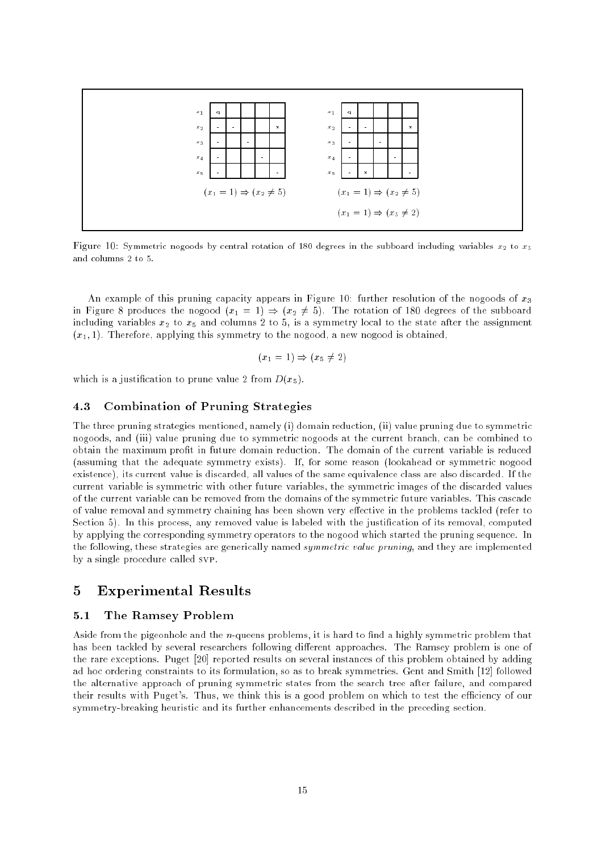

Figure 10: Symmetric nogoods by central rotation of 180 degrees in the subboard including variables  $x_2$  to  $x_5$ and 
olumns 2 to 5.

An example of this pruning capacity appears in Figure 10: further resolution of the nogoods of  $x_3$ in Figure 8 produces the nogood  $(x_1 = 1) \Rightarrow (x_2 \neq 5)$ . The rotation of 180 degrees of the subboard including variables  $x_2$  to  $x_5$  and columns 2 to 5, is a symmetry local to the state after the assignment  $(x_1, 1)$ . Therefore, applying this symmetry to the nogood, a new nogood is obtained,

$$
(x_1 = 1) \Rightarrow (x_5 \neq 2)
$$

which is a justification to prune value 2 from  $D(x_5)$ .

### 4.3 Combination of Pruning Strategies

The three pruning strategies mentioned, namely (i) domain reduction, (ii) value pruning due to symmetric nogoods, and (iii) value pruning due to symmetric nogoods at the current branch, can be combined to obtain the maximum profit in future domain reduction. The domain of the current variable is reduced (assuming that the adequate symmetry exists). If, for some reason (lookahead or symmetri
 nogood existence), its current value is discarded, all values of the same equivalence class are also discarded. If the current variable is symmetric with other future variables, the symmetric images of the discarded values of the current variable can be removed from the domains of the symmetric future variables. This cascade of value removal and symmetry chaining has been shown very effective in the problems tackled (refer to Section 5). In this process, any removed value is labeled with the justification of its removal, computed by applying the 
orresponding symmetry operators to the nogood whi
h started the pruning sequen
e. In the following, these strategies are generically named *symmetric value pruning*, and they are implemented by a single pro
edure 
alled svp.

## 5 Experimental Results

#### $5.1$ The Ramsey Problem

Aside from the pigeonhole and the  $n$ -queens problems, it is hard to find a highly symmetric problem that has been tackled by several researchers following different approaches. The Ramsey problem is one of the rare exceptions. Puget [20] reported results on several instances of this problem obtained by adding ad hoc ordering constraints to its formulation, so as to break symmetries. Gent and Smith [12] followed the alternative approach of pruning symmetric states from the search tree after failure, and compared their results with Puget's. Thus, we think this is a good problem on which to test the efficiency of our symmetry-breaking heuristic and its further enhancements described in the preceding section.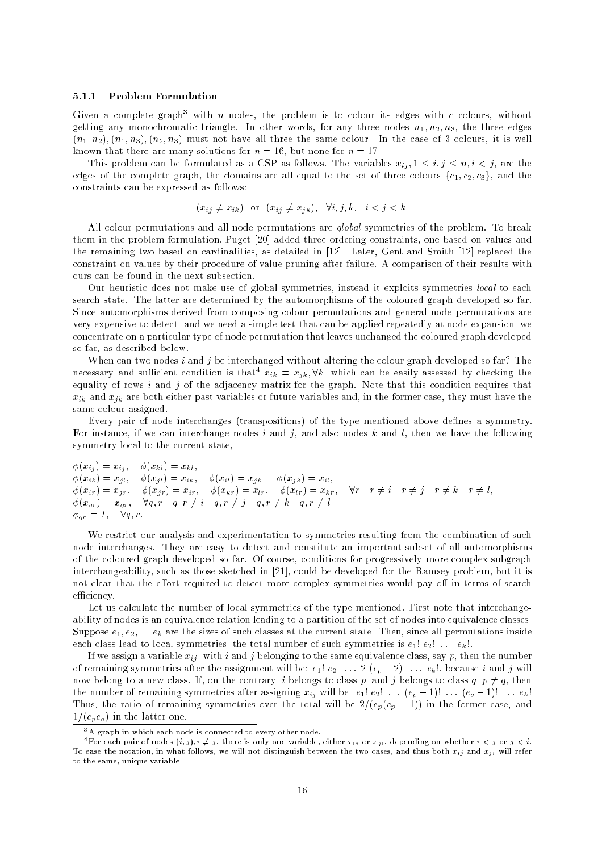#### 5.1.1Problem Formulation

Given a complete graph" with  $n$  nodes, the problem is to colour its edges with  $c$  colours, without getting any monochromatic triangle. In other words, for any three nodes  $n_1, n_2, n_3$ , the three edges  $(n_1, n_2), (n_1, n_3), (n_2, n_3)$  must not have all three the same colour. In the case of 3 colours, it is well known that there are many solutions for  $n = 16$ , but none for  $n = 17$ .

This problem can be formulated as a CSP as follows. The variables  $x_{ij}$ ,  $1 \le i, j \le n, i < j$ , are the edges of the complete graph, the domains are all equal to the set of three colours  $\{c_1, c_2, c_3\}$ , and the onstraints 
an be expressed as follows:

$$
(x_{ij} \neq x_{ik})
$$
 or  $(x_{ij} \neq x_{jk})$ ,  $\forall i, j, k, i < j < k$ .

All colour permutations and all node permutations are *global* symmetries of the problem. To break them in the problem formulation, Puget [20] added three ordering constraints, one based on values and the remaining two based on cardinalities, as detailed in [12]. Later, Gent and Smith [12] replaced the onstraint on values by their pro
edure of value pruning after failure. A 
omparison of their results with ours 
an be found in the next subse
tion.

Our heuristic does not make use of global symmetries, instead it exploits symmetries *local* to each search state. The latter are determined by the automorphisms of the coloured graph developed so far. Since automorphisms derived from composing colour permutations and general node permutations are very expensive to dete
t, and we need a simple test that 
an be applied repeatedly at node expansion, we on
entrate on a parti
ular type of node permutation that leaves un
hanged the 
oloured graph developed so far, as des
ribed below.

When can two nodes i and j be interchanged without altering the colour graph developed so far? The necessary and sufficient condition is that  $x_{ik} = x_{ik}, \forall k$ , which can be easily assessed by checking the equality of rows *i* and *j* of the adjacency matrix for the graph. Note that this condition requires that  $x_{ik}$  and  $x_{ik}$  are both either past variables or future variables and, in the former case, they must have the same 
olour assigned.

Every pair of node inter
hanges (transpositions) of the type mentioned above denes a symmetry. For instance, if we can interchange nodes i and j, and also nodes k and l, then we have the following symmetry local to the current state,

 $\phi\left(x_{\,ij}\right) = x_{ij}\;\text{,}\quad \phi\left(x_{\,kl}\right) = x_{kl}\;\text{,}$ (xik) = xj l ; (xj l) = xik; (xil) = xjk; (xjk) = xil ; (xir ) = xir (xir ) = xir (xir ) = xir ) = xir (xir ) = xir (xir ) = xir (xir ) = xir + xir + xir + 6= { بالمستخدم المستخدم المستخدم المستخدم المستخدم المستخدم المستخدم المستخدم المستخدم المستخدم المستخدم المستخدم المستخدم (xqr ) = xqr ; 8q; r q; r 6= <sup>i</sup> q; r 6= <sup>j</sup> q; r 6= <sup>k</sup> q; r 6= l;  $\phi_{qr} = I, \quad \forall q, r.$ 

We restrict our analysis and experimentation to symmetries resulting from the combination of such node inter
hanges. They are easy to dete
t and onstitute an important subset of all automorphisms of the 
oloured graph developed so far. Of 
ourse, onditions for progressively more 
omplex subgraph interchangeability, such as those sketched in [21], could be developed for the Ramsey problem, but it is not clear that the effort required to detect more complex symmetries would pay off in terms of search efficiency.

Let us calculate the number of local symmetries of the type mentioned. First note that interchangeability of nodes is an equivalence relation leading to a partition of the set of nodes into equivalence classes. Suppose  $e_1, e_2, \ldots e_k$  are the sizes of such classes at the current state. Then, since all permutations inside each class lead to local symmetries, the total number of such symmetries is  $e_1$ !  $e_2$ ! ...  $e_k$ !.

If we assign a variable  $x_{ij}$ , with i and j belonging to the same equivalence class, say p, then the number of remaining symmetries after the assignment will be:  $e_1! e_2! \ldots 2(e_p-2)! \ldots e_k!$ , because i and j will now belong to a new class. If, on the contrary, i belongs to class p, and j belongs to class  $q, p \neq q$ , then the number of remaining symmetries after assigning  $x_{ij}$  will be:  $e_1! e_2! \ldots (e_p-1)! \ldots (e_q-1)! \ldots e_k!$ Thus, the ratio of remaining symmetries over the total will be  $2/(e_p(e_p - 1))$  in the former case, and  $1/(e_p e_q)$  in the latter one.

<sup>&</sup>lt;sup>3</sup>A graph in which each node is connected to every other node.

For each pair of nodes  $(i, j)$ ,  $i \neq j$ , there is only one variable, either  $x_{ij}$  or  $x_{ji}$ , depending on whether  $i < j$  or  $j < i$ . To ease the notation, in what follows, we will not distinguish between the two cases, and thus both  $x_{ij}$  and  $x_{ji}$  will refer to the same, unique variable.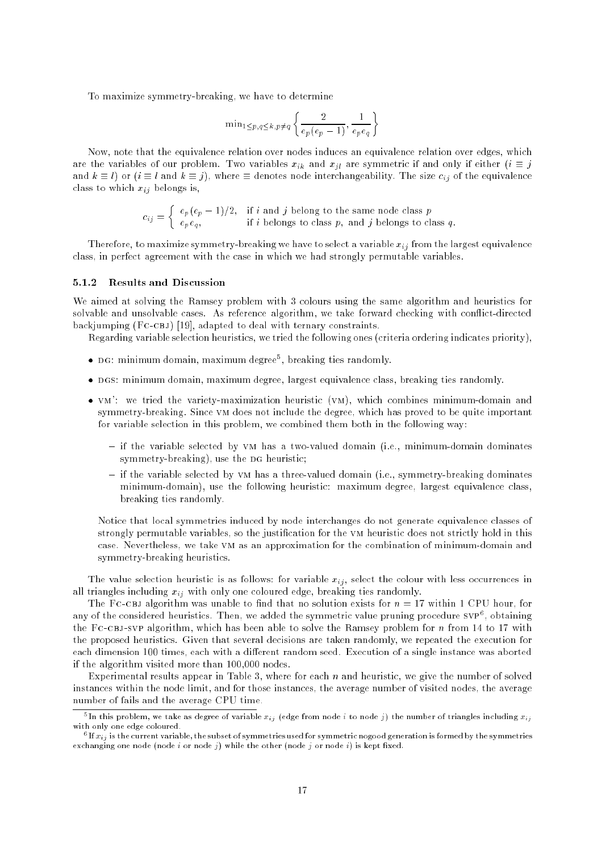To maximize symmetry-breaking, we have to determine

$$
\min_{1 \le p,q \le k,p \ne q} \left\{ \frac{2}{e_p(e_p-1)}, \frac{1}{e_pe_q} \right\}
$$

Now, note that the equivalence relation over nodes induces an equivalence relation over edges, which are the variables of our problem. Two variables  $x_{ik}$  and  $x_{jl}$  are symmetric if and only if either  $(i \equiv j$ and  $k \equiv l$  or  $(i \equiv l \text{ and } k \equiv j)$ , where  $\equiv$  denotes node interchangeability. The size  $c_{ij}$  of the equivalence class to which  $x_{ij}$  belongs is,

$$
c_{ij} = \begin{cases} e_p (e_p - 1)/2, & \text{if } i \text{ and } j \text{ belong to the same node class } p \\ e_p e_q, & \text{if } i \text{ belongs to class } p, \text{ and } j \text{ belongs to class } q. \end{cases}
$$

Therefore, to maximize symmetry-breaking we have to select a variable  $x_{ij}$  from the largest equivalence class, in perfect agreement with the case in which we had strongly permutable variables.

#### 5.1.2 Results and Dis
ussion

We aimed at solving the Ramsey problem with 3 colours using the same algorithm and heuristics for solvable and unsolvable cases. As reference algorithm, we take forward checking with conflict-directed backjumping (FC-CBJ) [19], adapted to deal with ternary constraints.

Regarding variable selection heuristics, we tried the following ones (criteria ordering indicates priority),

- $\bullet\,$  DG: minimum domain, maximum degree $^{\circ}$  , preaking ties randomly.
- dgs: minimum domain, maximum degree, largest equivalen
e 
lass, breaking ties randomly.
- $VM'$ : we tried the variety-maximization heuristic  $(VM)$ , which combines minimum-domain and symmetry-breaking. Sin
e vm does not in
lude the degree, whi
h has proved to be quite important for variable sele
tion in this problem, we 
ombined them both in the following way:
	- te variable selection and the selection of the selection of the selection of the selection of the selection of symmetry-breaking), use the DG heuristic;
	- { if the variable sele
	ted by vm has a three-valued domain (i.e., symmetry-breaking dominates minimum-domain), use the following heuristic: maximum degree, largest equivalence class, breaking ties randomly.

Notice that local symmetries induced by node interchanges do not generate equivalence classes of strongly permutable variables, so the justification for the VM heuristic does not strictly hold in this ase. Nevertheless, we take vm as an approximation for the 
ombination of minimum-domain and symmetry-breaking heuristi
s.

The value selection heuristic is as follows: for variable  $x_{ij}$ , select the colour with less occurrences in all triangles including  $x_{ij}$  with only one coloured edge, breaking ties randomly.

The FC-CBJ algorithm was unable to find that no solution exists for  $n = 17$  within 1 CPU hour, for any of the considered heuristics. Then, we added the symmetric value pruning procedure svP1, obtaining the FC-CBJ-SVP algorithm, which has been able to solve the Ramsey problem for n from 14 to 17 with the proposed heuristics. Given that several decisions are taken randomly, we repeated the execution for each dimension 100 times, each with a different random seed. Execution of a single instance was aborted if the algorithm visited more than 100,000 nodes.

Experimental results appear in Table 3, where for each  $n$  and heuristic, we give the number of solved instan
es within the node limit, and for those instan
es, the average number of visited nodes, the average number of fails and the average CPU time.

Tin this problem, we take as degree of variable  $x_{ij}$  (edge from hode  $i$  to hode  $j$ ) the number of triangles including  $x_{ij}$ with only one edge coloured.

 $\cdot$  n  $x_{ij}$  is the current variable, the subset of symmetries used for symmetric hogood generation is formed by the symmetries exchanging one node (node i or node j) while the other (node j or node i) is kept fixed.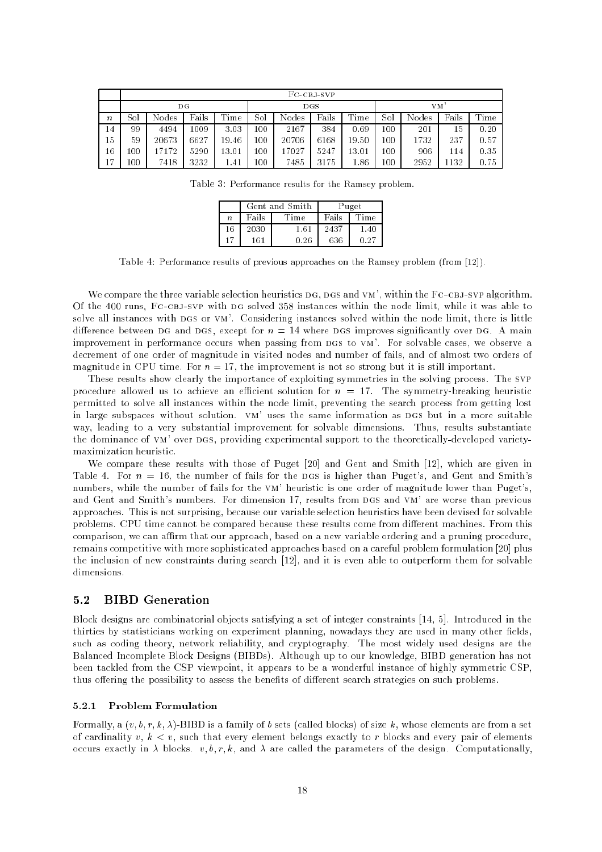|    | FC-CBJ-SVP |       |       |          |     |       |       |           |     |       |       |      |
|----|------------|-------|-------|----------|-----|-------|-------|-----------|-----|-------|-------|------|
|    | DG         |       |       |          | DGS |       |       |           | VМ  |       |       |      |
| n  | Sol        | Nodes | Fails | Time     | Sol | Nodes | Fails | Time      | Sol | Nodes | Fails | Time |
| 14 | 99         | 4494  | 009   | 3.03     | 100 | 2167  | 384   | 0.69      | 100 | 201   | 15    | 0.20 |
| 15 | 59         | 20673 | 6627  | 19.46    | 100 | 20706 | 6168  | 19.50     | 100 | 1732  | 237   | 0.57 |
| 16 | 100        | 17172 | 5290  | 13.01    | 100 | 17027 | 5247  | $13.01\,$ | 100 | 906   | 114   | 0.35 |
| 17 | 100        | 7418  | 3232  | $1.41\,$ | 100 | 7485  | 3175  | 1.86      | 100 | 2952  | 1132  | 0.75 |

Table 3: Performan
e results for the Ramsey problem.

|    |       | Gent and Smith | Puget |      |  |  |
|----|-------|----------------|-------|------|--|--|
| n  | Fails | <b>Time</b>    | Fails | Time |  |  |
| 16 | 2030  | 1.61           | 2437  | 1.40 |  |  |
| 17 | 161   | 0.26           | 636   | 0.27 |  |  |

Table 4: Performance results of previous approaches on the Ramsey problem (from [12]).

We compare the three variable selection heuristics DG, DGS and VM', within the FC-CBJ-SVP algorithm. Of the 400 runs, Fc-cBJ-svp with DG solved 358 instances within the node limit, while it was able to solve all instances with DGS or VM'. Considering instances solved within the node limit, there is little difference between DG and DGS, except for  $n = 14$  where DGS improves significantly over DG. A main improvement in performance occurs when passing from DGS to VM'. For solvable cases, we observe a de
rement of one order of magnitude in visited nodes and number of fails, and of almost two orders of magnitude in CPU time. For  $n = 17$ , the improvement is not so strong but it is still important.

These results show clearly the importance of exploiting symmetries in the solving process. The svp procedure allowed us to achieve an efficient solution for  $n = 17$ . The symmetry-breaking heuristic permitted to solve all instan
es within the node limit, preventing the sear
h pro
ess from getting lost in large subspaces without solution. VM' uses the same information as DGS but in a more suitable way, leading to a very substantial improvement for solvable dimensions. Thus, results substantiate the dominance of VM' over DGS, providing experimental support to the theoretically-developed varietymaximization heuristic.

We compare these results with those of Puget [20] and Gent and Smith [12], which are given in Table 4. For  $n = 16$ , the number of fails for the DGS is higher than Puget's, and Gent and Smith's numbers, while the number of fails for the VM' heuristic is one order of magnitude lower than Puget's, and Gent and Smith's numbers. For dimension 17, results from DGS and VM' are worse than previous approa
hes. This is not surprising, be
ause our variable sele
tion heuristi
s have been devised for solvable problems. CPU time cannot be compared because these results come from different machines. From this comparison, we can affirm that our approach, based on a new variable ordering and a pruning procedure, remains competitive with more sophisticated approaches based on a careful problem formulation [20] plus the inclusion of new constraints during search [12], and it is even able to outperform them for solvable dimensions

### 5.2 BIBD Generation

Block designs are combinatorial objects satisfying a set of integer constraints [14, 5]. Introduced in the thirties by statisticians working on experiment planning, nowadays they are used in many other fields, such as coding theory, network reliability, and cryptography. The most widely used designs are the Balan
ed In
omplete Blo
k Designs (BIBDs). Although up to our knowledge, BIBD generation has not been tackled from the CSP viewpoint, it appears to be a wonderful instance of highly symmetric CSP, thus offering the possibility to assess the benefits of different search strategies on such problems.

#### $521$ **Problem Formulation**

Formally, a  $(v, b, r, k, \lambda)$ -BIBD is a family of b sets (called blocks) of size k, whose elements are from a set of cardinality  $v, k < v$ , such that every element belongs exactly to r blocks and every pair of elements occurs exactly in  $\lambda$  blocks.  $v, b, r, k$ , and  $\lambda$  are called the parameters of the design. Computationally,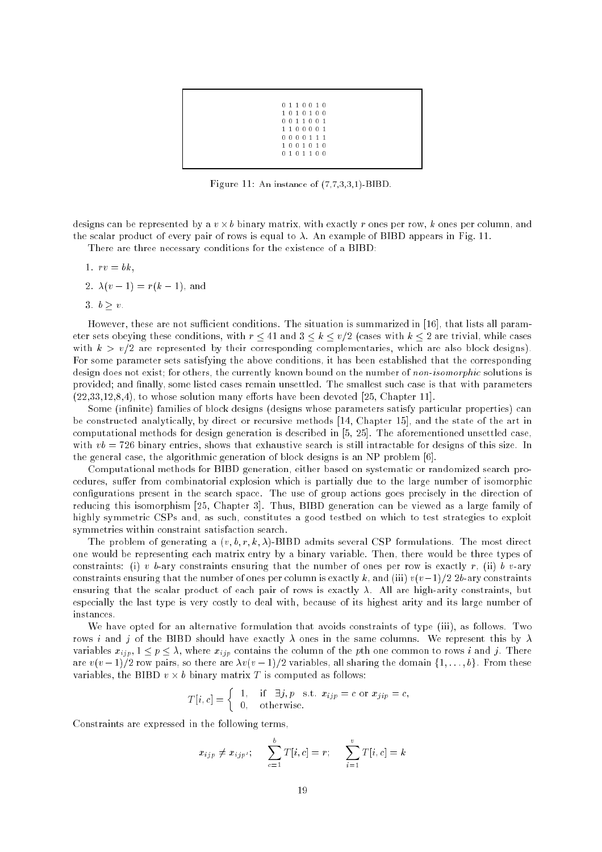| 0110010 |  |
|---------|--|
| 1010100 |  |
| 0011001 |  |
| 1100001 |  |
| 0000111 |  |
| 1001010 |  |
| 0101100 |  |
|         |  |

Figure 11: An instan
e of (7,7,3,3,1)-BIBD.

designs 
an be represented by a <sup>v</sup> - <sup>b</sup> binary matrix, with exa
tly <sup>r</sup> ones per row, <sup>k</sup> ones per 
olumn, and the scalar product of every pair of rows is equal to  $\lambda$ . An example of BIBD appears in Fig. 11.

There are three necessary conditions for the existence of a BIBD:

- 1.  $rv = bk$ .
- 2.  $\lambda(v 1) = r(k 1)$ , and
- 3.  $b > v$ .

However, these are not sufficient conditions. The situation is summarized in [16], that lists all parameter sets obeying these conditions, with  $r \leq 41$  and  $3 \leq k \leq v/2$  (cases with  $k \leq 2$  are trivial, while cases with  $k > v/2$  are represented by their corresponding complementaries, which are also block designs). For some parameter sets satisfying the above conditions, it has been established that the corresponding design does not exist; for others, the currently known bound on the number of non-isomorphic solutions is provided; and finally, some listed cases remain unsettled. The smallest such case is that with parameters  $(22,33,12,8,4)$ , to whose solution many efforts have been devoted [25, Chapter 11].

Some (infinite) families of block designs (designs whose parameters satisfy particular properties) can be constructed analytically, by direct or recursive methods [14, Chapter 15], and the state of the art in computational methods for design generation is described in [5, 25]. The aforementioned unsettled case, with  $vb = 726$  binary entries, shows that exhaustive search is still intractable for designs of this size. In the general case, the algorithmic generation of block designs is an NP problem [6].

Computational methods for BIBD generation, either based on systematic or randomized search procedures, suffer from combinatorial explosion which is partially due to the large number of isomorphic configurations present in the search space. The use of group actions goes precisely in the direction of reducing this isomorphism [25, Chapter 3]. Thus, BIBD generation can be viewed as a large family of highly symmetric CSPs and, as such, constitutes a good testbed on which to test strategies to exploit symmetries within constraint satisfaction search.

The problem of generating a  $(v, b, r, k, \lambda)$ -BIBD admits several CSP formulations. The most direct one would be representing ea
h matrix entry by a binary variable. Then, there would be three types of constraints: (i) v b-ary constraints ensuring that the number of ones per row is exactly r, (ii) b v-ary constraints ensuring that the number of ones per column is exactly k, and (iii)  $v(v-1)/2$  2b-ary constraints ensuring that the scalar product of each pair of rows is exactly  $\lambda$ . All are high-arity constraints, but especially the last type is very costly to deal with, because of its highest arity and its large number of instan
es.

We have opted for an alternative formulation that avoids constraints of type (iii), as follows. Two rows i and j of the BIBD should have exactly  $\lambda$  ones in the same columns. We represent this by  $\lambda$ variables  $x_{ijp}$ ,  $1 \leq p \leq \lambda$ , where  $x_{ijp}$  contains the column of the pth one common to rows i and j. There are  $v(v-1)/2$  row pairs, so there are  $\lambda v(v-1)/2$  variables, all sharing the domain  $\{1, \ldots, b\}$ . From these variables, the BIBD <sup>v</sup> - <sup>b</sup> binary matrix <sup>T</sup> is 
omputed as follows:

$$
T[i, c] = \begin{cases} 1, & \text{if } \exists j, p \text{ s.t. } x_{ijp} = c \text{ or } x_{jip} = c, \\ 0, & \text{otherwise.} \end{cases}
$$

Constraints are expressed in the following terms,

$$
x_{ijp} \neq x_{ijp'}
$$
;  $\sum_{c=1}^{b} T[i, c] = r$ ;  $\sum_{i=1}^{v} T[i, c] = k$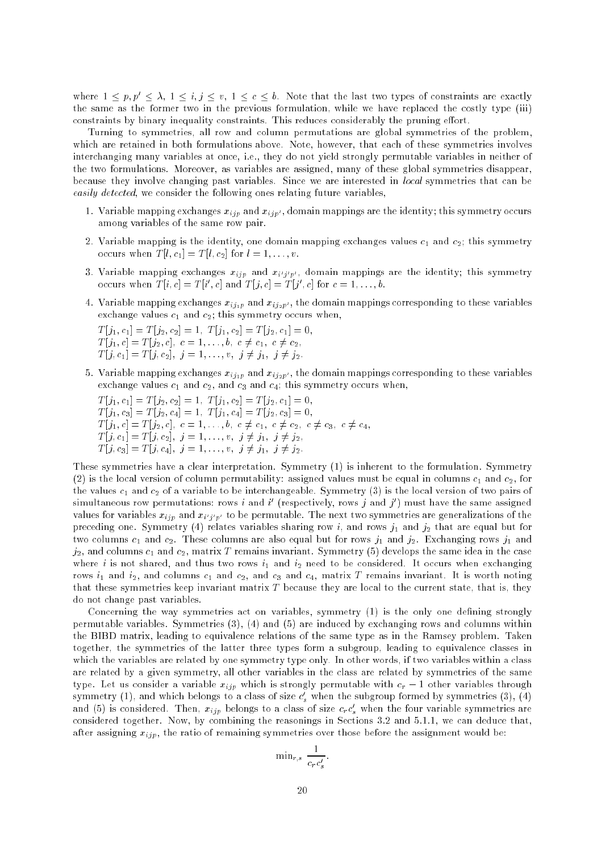where  $1 \leq p, p' \leq \lambda, 1 \leq i, j \leq v, 1 \leq c \leq b$ . Note that the last two types of constraints are exactly the same as the former two in the previous formulation, while we have repla
ed the ostly type (iii) constraints by binary inequality constraints. This reduces considerably the pruning effort.

Turning to symmetries, all row and olumn permutations are global symmetries of the problem, which are retained in both formulations above. Note, however, that each of these symmetries involves inter
hanging many variables at on
e, i.e., they do not yield strongly permutable variables in neither of the two formulations. Moreover, as variables are assigned, many of these global symmetries disappear, because they involve changing past variables. Since we are interested in local symmetries that can be easily detected, we consider the following ones relating future variables,

- 1. Variable mapping exchanges  $x_{ijp}$  and  $x_{ijp'}$ , domain mappings are the identity; this symmetry occurs among variables of the same row pair.
- 2. Variable mapping is the identity, one domain mapping exchanges values  $c_1$  and  $c_2$ ; this symmetry occurs when  $T[l, c_1] = T[l, c_2]$  for  $l = 1, \ldots, v$ .
- $\sigma$ . Tangon mapping exercing  $\sigma$   $\pi_{10}$  and  $\pi_{1-1}$ ; domain mappings are the identity; this symmetry occurs when  $I[i, c] \equiv I[i, c]$  and  $I[i, c] \equiv I[i, c]$  for  $c \equiv 1, \ldots, \ell$ .
- 4. Variable mapping exchanges  $x_{ij_1p}$  and  $x_{ij_2p'}$ , the domain mappings corresponding to these variables exchange values  $c_1$  and  $c_2$ ; this symmetry occurs when,

<sup>T</sup> [j1; 
1℄ = <sup>T</sup> [j2; 
2℄ = 1; <sup>T</sup> [j1; 
2℄ = <sup>T</sup> [j2; 
1℄ = 0; <sup>T</sup> [j1; 
℄ = <sup>T</sup> [j2; 
℄; = 1; : : : ; b; 6= 1; 6= 2; <u>- דוד היוני היוני היוני היוני היוני ו</u>

5. Variable mapping exchanges  $x_{ij_1p}$  and  $x_{ij_2p'}$ , the domain mappings corresponding to these variables exchange values  $c_1$  and  $c_2$ , and  $c_3$  and  $c_4$ ; this symmetry occurs when,

 $T[j_1, c_1] = T[j_2, c_2] = 1, T[j_1, c_2] = T[j_2, c_1] = 0$ <sup>T</sup> [j1; 
3℄ = <sup>T</sup> [j2; 
4℄ = 1; <sup>T</sup> [j1; 
4℄ = <sup>T</sup> [j2; 
3℄ = 0; <sup>T</sup> [j1; 
℄ = <sup>T</sup> [j2; 
℄; = 1; : : : ; b; 6= 1; 6= 2; 6= 3; 6= 4;  $T[j, c_1] = T[j, c_2], j = 1, \ldots, v, j \neq j_1, j \neq j_2,$  $T[j, c_3] = T[j, c_4], j = 1, \ldots, v, j \neq j_1, j \neq j_2.$ 

These symmetries have a clear interpretation. Symmetry (1) is inherent to the formulation. Symmetry (2) is the local version of column permutability: assigned values must be equal in columns  $c_1$  and  $c_2$ , for the values  $c_1$  and  $c_2$  of a variable to be interchangeable. Symmetry (3) is the local version of two pairs of  $\,$  simultaneous row permutations: rows  $\,i\,$  and  $\,i\,$  (respectively, rows  $\,j\,$  and  $\,j\,$  ) must have the same assigned values for variables xijp and xi0 j0p0 to be permutable. The next two symmetries are generalizations of the preceding one. Symmetry (4) relates variables sharing row i, and rows  $j_1$  and  $j_2$  that are equal but for two columns  $c_1$  and  $c_2$ . These columns are also equal but for rows  $j_1$  and  $j_2$ . Exchanging rows  $j_1$  and  $j_2$ , and columns  $c_1$  and  $c_2$ , matrix T remains invariant. Symmetry (5) develops the same idea in the case where *i* is not shared, and thus two rows  $i_1$  and  $i_2$  need to be considered. It occurs when exchanging rows  $i_1$  and  $i_2$ , and columns  $c_1$  and  $c_2$ , and  $c_3$  and  $c_4$ , matrix T remains invariant. It is worth noting that these symmetries keep invariant matrix  $T$  because they are local to the current state, that is, they do not 
hange past variables.

Concerning the way symmetries act on variables, symmetry (1) is the only one defining strongly permutable variables. Symmetries (3), (4) and (5) are indu
ed by ex
hanging rows and 
olumns within the BIBD matrix, leading to equivalence relations of the same type as in the Ramsey problem. Taken together, the symmetries of the latter three types form a subgroup, leading to equivalence classes in which the variables are related by one symmetry type only. In other words, if two variables within a class are related by a given symmetry, all other variables in the 
lass are related by symmetries of the same type. Let us consider a variable  $x_{ijp}$  which is strongly permutable with  $c_r - 1$  other variables through symmetry (1), and which belongs to a class of size  $c_s$  when the subgroup formed by symmetries (5), (4) and (5) is considered. Then,  $x_{ijp}$  belongs to a class of size  $c_r c_s$  when the four variable symmetries are considered together. Now, by combining the reasonings in Sections 3.2 and 5.1.1, we can deduce that, after assigning  $x_{ijp}$ , the ratio of remaining symmetries over those before the assignment would be:

$$
\min_{r,s} \frac{1}{c_r c'_s}
$$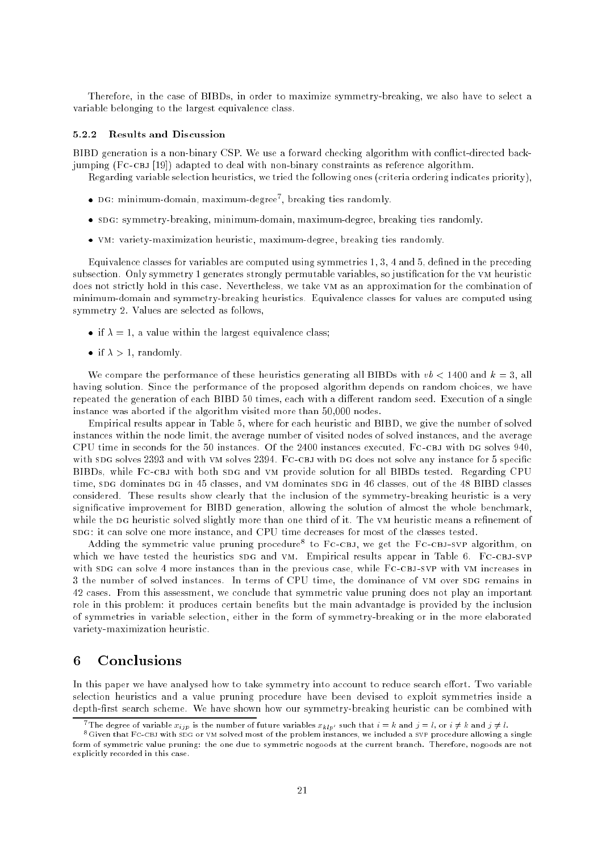Therefore, in the 
ase of BIBDs, in order to maximize symmetry-breaking, we also have to sele
t a variable belonging to the largest equivalence class.

BIBD generation is a non-binary CSP. We use a forward checking algorithm with conflict-directed backjumping (FC-CBJ [19]) adapted to deal with non-binary constraints as reference algorithm.

Regarding variable selection heuristics, we tried the following ones (criteria ordering indicates priority),

- $\bullet$  bg: minimum-domain, maximum-degree , breaking ties randomly.
- sdg: symmetry-breaking, minimum-domain, maximum-degree, breaking ties randomly.
- vm: variety-maximization heuristi
, maximum-degree, breaking ties randomly.

Equivalence classes for variables are computed using symmetries 1, 3, 4 and 5, defined in the preceding subsection. Only symmetry 1 generates strongly permutable variables, so justification for the VM heuristic does not strictly hold in this case. Nevertheless, we take VM as an approximation for the combination of minimum-domain and symmetry-breaking heuristi
s. Equivalen
e 
lasses for values are 
omputed using symmetry 2. Values are selected as follows,

- if if a value with the largest equivalent community
- if > 1, randomly.

We compare the performance of these heuristics generating all BIBDs with  $vb < 1400$  and  $k = 3$ , all having solution. Since the performance of the proposed algorithm depends on random choices, we have repeated the generation of each BIBD 50 times, each with a different random seed. Execution of a single instan
e was aborted if the algorithm visited more than 50,000 nodes.

Empirical results appear in Table 5, where for each heuristic and BIBD, we give the number of solved instan
es within the node limit, the average number of visited nodes of solved instan
es, and the average CPU time in seconds for the 50 instances. Of the 2400 instances executed, FC-CBJ with DG solves 940, with spg solves 2393 and with vm solves 2394. FC-CBJ with DG does not solve any instance for 5 specific BIBDs, while FC-CBJ with both spg and VM provide solution for all BIBDs tested. Regarding CPU time, spg dominates pg in 45 classes, and VM dominates spg in 46 classes, out of the 48 BIBD classes considered. These results show clearly that the inclusion of the symmetry-breaking heuristic is a very significative improvement for BIBD generation, allowing the solution of almost the whole benchmark, while the pg heuristic solved slightly more than one third of it. The vM heuristic means a refinement of spg: it can solve one more instance, and CPU time decreases for most of the classes tested.

Adding the symmetric value pruning procedure to FC-CBJ, we get the FC-CBJ-SVP algorithm, on which we have tested the heuristics spG and VM. Empirical results appear in Table 6. FC-CBJ-SVP with spg can solve 4 more instances than in the previous case, while FC-CBJ-SVP with VM increases in 3 the number of solved instances. In terms of CPU time, the dominance of VM over SDG remains in 42 
ases. From this assessment, we 
on
lude that symmetri
 value pruning does not play an important role in this problem: it produces certain benefits but the main advantadge is provided by the inclusion of symmetries in variable sele
tion, either in the form of symmetry-breaking or in the more elaborated variety-maximization heuristi
.

## 6

In this paper we have analysed how to take symmetry into account to reduce search effort. Two variable sele
tion heuristi
s and a value pruning pro
edure have been devised to exploit symmetries inside a depth-first search scheme. We have shown how our symmetry-breaking heuristic can be combined with

<sup>&</sup>lt;sup>7</sup>The degree of variable  $x_{ijp}$  is the number of future variables  $x_{klp'}$  such that  $i = k$  and  $j = l$ , or  $i \neq k$  and  $j \neq l$ .

<sup>&</sup>lt;sup>8</sup>Given that FC-CBJ with sng or VM solved most of the problem instances, we included a SVP procedure allowing a single form of symmetric value pruning: the one due to symmetric nogoods at the current branch. Therefore, nogoods are not explicitly recorded in this case.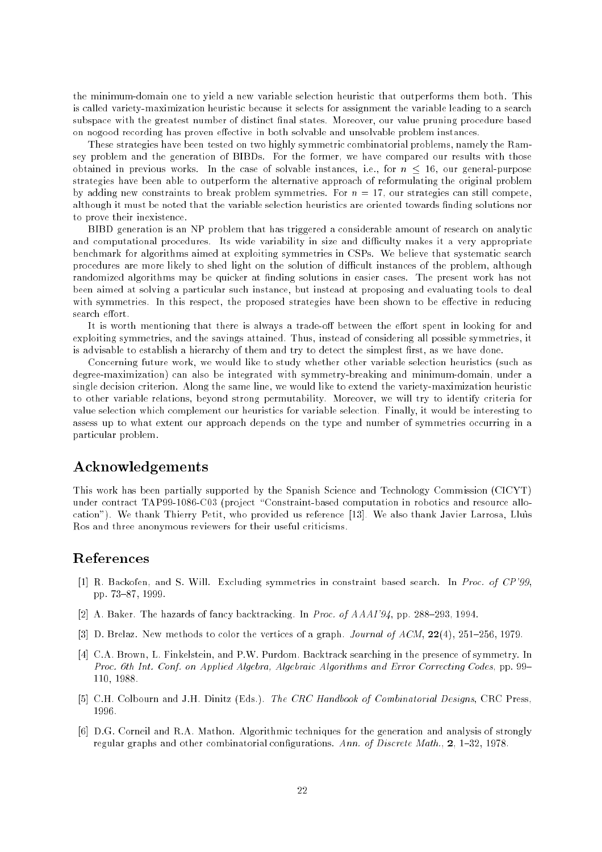the minimum-domain one to yield a new variable sele
tion heuristi
 that outperforms them both. This is called variety-maximization heuristic because it selects for assignment the variable leading to a search subspace with the greatest number of distinct final states. Moreover, our value pruning procedure based on nogood recording has proven effective in both solvable and unsolvable problem instances.

These strategies have been tested on two highly symmetric combinatorial problems, namely the Ramsey problem and the generation of BIBDs. For the former, we have ompared our results with those obtained in previous works. In the case of solvable instances, i.e., for  $n \leq 16$ , our general-purpose strategies have been able to outperform the alternative approach of reformulating the original problem by adding new constraints to break problem symmetries. For  $n = 17$ , our strategies can still compete, although it must be noted that the variable selection heuristics are oriented towards finding solutions nor to prove their inexisten
e.

BIBD generation is an NP problem that has triggered a considerable amount of research on analytic and computational procedures. Its wide variability in size and difficulty makes it a very appropriate benchmark for algorithms aimed at exploiting symmetries in CSPs. We believe that systematic search procedures are more likely to shed light on the solution of difficult instances of the problem, although randomized algorithms may be quicker at finding solutions in easier cases. The present work has not been aimed at solving a particular such instance, but instead at proposing and evaluating tools to deal with symmetries. In this respect, the proposed strategies have been shown to be effective in reducing search effort.

It is worth mentioning that there is always a trade-off between the effort spent in looking for and exploiting symmetries, and the savings attained. Thus, instead of 
onsidering all possible symmetries, it is advisable to establish a hierarchy of them and try to detect the simplest first, as we have done.

Concerning future work, we would like to study whether other variable selection heuristics (such as degree-maximization) 
an also be integrated with symmetry-breaking and minimum-domain, under a single decision criterion. Along the same line, we would like to extend the variety-maximization heuristic to other variable relations, beyond strong permutability. Moreover, we will try to identify criteria for value selection which complement our heuristics for variable selection. Finally, it would be interesting to assess up to what extent our approach depends on the type and number of symmetries occurring in a particular problem.

## **Acknowledgements**

This work has been partially supported by the Spanish S
ien
e and Te
hnology Commission (CICYT) under contract TAP99-1086-C03 (project "Constraint-based computation in robotics and resource allocation"). We thank Thierry Petit, who provided us reference [13]. We also thank Javier Larrosa, Lluis Ros and three anonymous reviewers for their useful criticisms.

## Referen
es

- [1] R. Backofen, and S. Will. Excluding symmetries in constraint based search. In Proc. of CP'99, pp. 73-87, 1999.
- [2] A. Baker. The hazards of fancy backtracking. In Proc. of  $A A A I' 94$ , pp. 288-293, 1994.
- [3] D. Brelaz. New methods to color the vertices of a graph. Journal of ACM,  $22(4)$ ,  $251-256$ , 1979.
- [4] C.A. Brown, L. Finkelstein, and P.W. Purdom. Backtrack searching in the presence of symmetry. In Proc. 6th Int. Conf. on Applied Algebra, Algebraic Algorithms and Error Correcting Codes, pp. 99– 110, 1988.
- [5] C.H. Colbourn and J.H. Dinitz (Eds.). The CRC Handbook of Combinatorial Designs, CRC Press, 1996.
- [6] D.G. Corneil and R.A. Mathon. Algorithmic techniques for the generation and analysis of strongly regular graphs and other combinatorial configurations. Ann. of Discrete Math.,  $2, 1-32, 1978$ .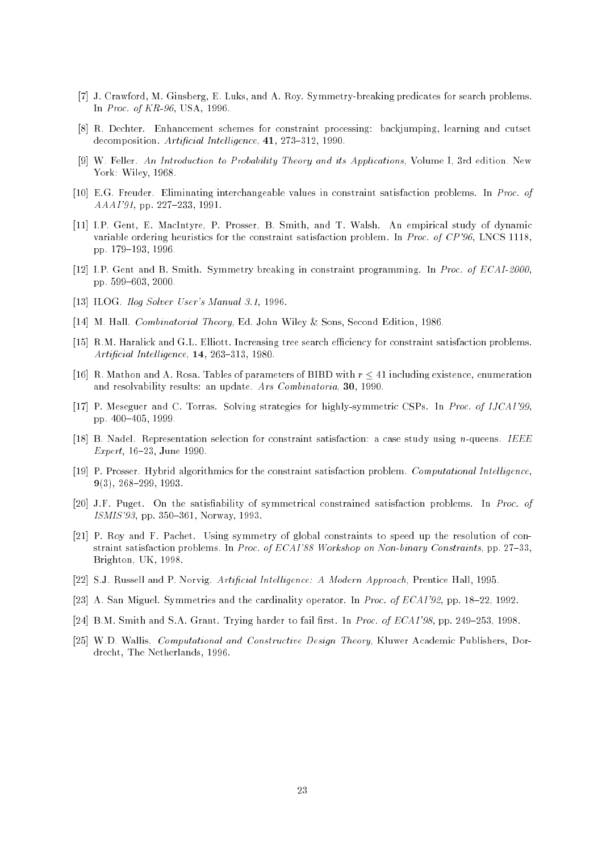- [7] J. Crawford, M. Ginsberg, E. Luks, and A. Roy. Symmetry-breaking predicates for search problems. In Pro
. of KR-96, USA, 1996.
- [8] R. Dechter. Enhancement schemes for constraint processing: backjumping, learning and cutset decomposition. Artificial Intelligence, 41, 273-312, 1990.
- [9] W. Feller. An Introduction to Probability Theory and its Applications, Volume I, 3rd edition. New York: Wiley, 1968.
- [10] E.G. Freuder. Eliminating interchangeable values in constraint satisfaction problems. In Proc. of  $AAAI'91$ , pp. 227-233, 1991.
- [11] I.P. Gent, E. MacIntyre, P. Prosser, B. Smith, and T. Walsh. An empirical study of dynamic variable ordering heuristics for the constraint satisfaction problem. In Proc. of CP'96, LNCS 1118, pp. 179-193, 1996.
- [12] I.P. Gent and B. Smith. Symmetry breaking in constraint programming. In Proc. of ECAI-2000, pp. 599-603, 2000.
- [13] ILOG. *Ilog Solver User's Manual 3.1*, 1996.
- [14] M. Hall. Combinatorial Theory, Ed. John Wiley & Sons, Second Edition, 1986.
- [15] R.M. Haralick and G.L. Elliott. Increasing tree search efficiency for constraint satisfaction problems. Artificial Intelligence, 14, 263-313, 1980.
- [16] R. Mathon and A. Rosa. Tables of parameters of BIBD with  $r < 41$  including existence, enumeration and resolvability results: an update. Ars Combinatoria, 30, 1990.
- [17] P. Meseguer and C. Torras. Solving strategies for highly-symmetric CSPs. In Proc. of IJCAI'99, pp. 400-405, 1999.
- [18] B. Nadel. Representation selection for constraint satisfaction: a case study using *n*-queens. IEEE  $Expert, 16-23, June 1990.$
- [19] P. Prosser. Hybrid algorithmics for the constraint satisfaction problem. Computational Intelligence,  $9(3)$ , 268-299, 1993.
- [20] J.F. Puget. On the satisfiability of symmetrical constrained satisfaction problems. In Proc. of ISMIS'93, pp. 350-361, Norway, 1993.
- [21] P. Roy and F. Pachet. Using symmetry of global constraints to speed up the resolution of constraint satisfaction problems. In Proc. of ECAI'88 Workshop on Non-binary Constraints, pp. 27-33, Brighton, UK, 1998.
- [22] S.J. Russell and P. Norvig. Artificial Intelligence: A Modern Approach, Prentice Hall, 1995.
- [23] A. San Miguel. Symmetries and the cardinality operator. In *Proc. of ECAI'92*, pp. 18-22, 1992.
- [24] B.M. Smith and S.A. Grant. Trying harder to fail first. In *Proc. of ECAI'98*, pp. 249–253, 1998.
- [25] W.D. Wallis. Computational and Constructive Design Theory, Kluwer Academic Publishers, Dordre
ht, The Netherlands, 1996.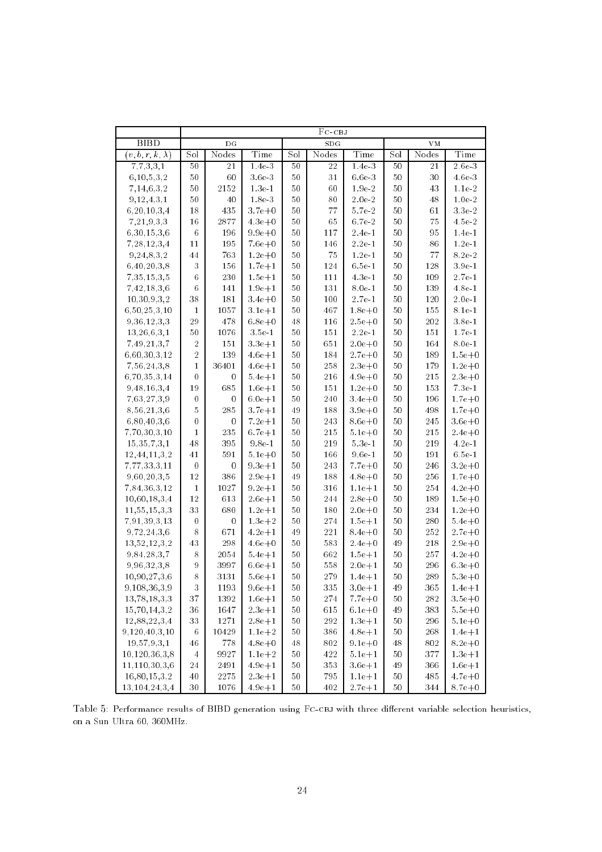|                         | $Fc$ - $CBJ$     |                    |                     |          |                |            |        |                     |                            |
|-------------------------|------------------|--------------------|---------------------|----------|----------------|------------|--------|---------------------|----------------------------|
| <b>BIBD</b>             |                  | DG                 |                     |          | SDG            |            |        | VM                  |                            |
| $(v, b, r, k, \lambda)$ | Sol              | Nodes              | Time                | Sol      | Nodes          | Time       | Sol    | Nodes               | Time                       |
| 7,7,3,3,1               | 50               | 21                 | $1.\overline{4e-3}$ | 50       | 22             | $1.4e-3$   | 50     | 21                  | 2.6e-3                     |
| 6, 10, 5, 3, 2          | $50\,$           | 60                 | $3.6\mathrm{e}{-3}$ | 50       | 31             | 6.6e 3     | $50\,$ | 30                  | $4.6\mathrm{e}{-3}$        |
| 7,14,6,3,2              | 50               | 2152               | $1.3e-1$            | $50\,$   | 60             | 1.9e-2     | $50\,$ | 43                  | $1.1e-2$                   |
| 9, 12, 4, 3, 1          | 50               | 40                 | $1.8e-3$            | $50\,$   | 80             | $2.0e-2$   | $50\,$ | $48\,$              | $1.0e-2$                   |
| 6,20,10,3,4             | $18\,$           | 435                | $3.7e + 0$          | $50\,$   | 77             | 5.7e-2     | $50\,$ | 61                  | $3.3e-2$                   |
| 7,21,9,3,3              | 16               | $2\,877$           | $4.3e + 0$          | 50       | 65             | 6.7e-2     | $50\,$ | $75\,$              | $4.5\,e\hbox{-} 2$         |
| 6,30,15,3,6             | $\,$ 6           | 196                | $9.9e + 0$          | $50\,$   | $117\,$        | $2.4e-1$   | $50\,$ | 95                  | $1.4e-1$                   |
| 7,28,12,3,4             | 11               | $195\,$            | $7.6e + 0$          | $50\,$   | 146            | $2.2e-1$   | $50\,$ | 86                  | $1.2\mathrm{e}{\text{-}1}$ |
| 9,24,8,3,2              | $\bf 44$         | 763                | $1.2e + 0$          | 50       | 75             | $1.2e-1$   | $50\,$ | $77\,$              | 8.2e-2                     |
| 6, 40, 20, 3, 8         | 3                | 156                | $1.7e + 1$          | $50\,$   | $12\,4$        | $6.5e-1$   | $50\,$ | 128                 | $3.9e-1$                   |
| 7, 35, 15, 3, 5         | 6                | 230                | $1.5e + 1$          | $50\,$   | 111            | $4.3e-1$   | $50\,$ | 109                 | $2.7e-1$                   |
| 7,42,18,3,6             | 6                | 141                | $1.9e + 1$          | 50       | 131            | $8.0e-1$   | $50\,$ | 139                 | $4.8e-1$                   |
| 10, 30, 9, 3, 2         | 38               | 181                | $3.4e + 0$          | $50\,$   | 100            | $2.7e-1$   | $50\,$ | 120                 | $2.0e-1$                   |
| 6,50,25,3,10            | $\mathbf{1}$     | 1057               | $3.1e + 1$          | $50\,$   | 467            | $1.8e + 0$ | $50\,$ | $155\,$             | $8.1e-1$                   |
| 9,36,12,3,3             | $\rm 29$         | 478                | $6.8e + 0$          | $48\,$   | 116            | $2.5e + 0$ | 50     | $2\sqrt{02}$        | $3.8e-1$                   |
| 13,26,6,3,1             | 50               | 1076               | $3.5e-1$            | $50\,$   | $15\,1$        | $2.2e-1$   | $50\,$ | 151                 | $1.7e-1$                   |
| 7,49,21,3,7             | $\sqrt{2}$       | 151                | $3.3e + 1$          | $50\,$   | 651            | $2.0e + 0$ | $5\,0$ | 164                 | $8.0e - 1$                 |
| 6,60,30,3,12            | $\sqrt{2}$       | 139                | $4.6e + 1$          | 50       | 184            | $2.7e + 0$ | 50     | 189                 | $1.5e + 0$                 |
| 7,56,24,3,8             | $\bf{1}$         | 36401              | $4.6e + 1$          | $50\,$   | $25\,8$        | $2.3e + 0$ | $50\,$ | 179                 | $1.2e + 0$                 |
| 6,70,35,3,14            | $\mathbf 0$      | 0                  | $5.4e + 1$          | $50\,$   | 216            | $4.9e + 0$ | $50\,$ | $2\,15$             | $2.3e + 0$                 |
| 9,48,16,3,4             | 19               | 685                | $1.6e + 1$          | $50\,$   | $15\,1$        | $1.2e + 0$ | $50\,$ | 153                 | $7.3e-1$                   |
| 7,63,27,3,9             | $\boldsymbol{0}$ | 0                  | $6.0e + 1$          | $50\,$   | $2\,40$        | $3.4e + 0$ | $50\,$ | 196                 | $1.7e + 0$                 |
| 8,56,21,3,6             | $\bf 5$          | $2\,85$            | $3.7e + 1$          | $\rm 49$ | 188            | $3.9e + 0$ | $5\,0$ | 498                 | $1.7e + 0$                 |
| 6,80,40,3,6             | $\boldsymbol{0}$ | 0                  | $7.2e + 1$          | $50\,$   | 243            | $8.6e + 0$ | $50\,$ | $2\,45$             | $3.6e + 0$                 |
| 7,70,30,3,10            | $\mathbf 1$      | $2\,35$            | $6.7e + 1$          | $50\,$   | $2\,15$        | $5.1e + 0$ | $50\,$ | $2\,15$             | $2.4e + 0$                 |
| 15, 35, 7, 3, 1         | $48\,$           | 395                | $9.8e-1$            | $50\,$   | 219            | $5.3e-1$   | $50\,$ | 219                 | $4.2\mathrm{e}{\text{-}1}$ |
| 12,44,11,3,2            | 41               | 591                | $5.1e + 0$          | $50\,$   | 166            | $9.6e-1$   | $50\,$ | 191                 | $6.5e-1$                   |
| 7,77,33,3,11            | $\boldsymbol{0}$ | 0                  | $9.3e + 1$          | $50\,$   | 243            | $7.7e + 0$ | 50     | 246                 | $3.2e + 0$                 |
| 9,60,20,3,5             | $12\,$           | 386                | $2.9e + 1$          | 49       | 188            | $4.8e + 0$ | $50\,$ | 256                 | $1.7e + 0$                 |
| 7,84,36,3,12            | $\mathbf{1}$     | $1027\,$           | $9.2e + 1$          | $50\,$   | 316            | $1.1e + 1$ | $50\,$ | $2\sqrt{5}\sqrt{4}$ | $4.2e + 0$                 |
| 10,60,18,3,4            | $12\,$           | 613                | $2.6e + 1$          | $50\,$   | 244            | $2.8e + 0$ | $50\,$ | 189                 | $1.5e + 0$                 |
| 11,55,15,3,3            | 33               | 680                | $1.2\mathrm{e}{+1}$ | 50       | 180            | $2.0e + 0$ | 50     | 234                 | $1.2e + 0$                 |
| 7,91,39,3,13            | $\boldsymbol{0}$ | 0                  | $1.3e + 2$          | $50\,$   | $274\,$        | $1.5e + 1$ | $50\,$ | $2\,80$             | $5.4e + 0$                 |
| 9,72,24,3,6             | $8\,$            | 671                | $4.2e+1$            | 49       | $2\sqrt{2}\,1$ | $8.4e + 0$ | $50\,$ | $2\sqrt{5}\sqrt{2}$ | $2.7e + 0$                 |
| 13,52,12,3,2            | 43               | $\boldsymbol{298}$ | $4.6e + 0$          | 50       | 583            | $2.4e + 0$ | 49     | 218                 | $2.9e + 0$                 |
| 9,84,28,3,7             | $8\,$            | 2054               | $5.4e + 1$          | $50\,$   | 662            | $1.5e + 1$ | $50\,$ | $2\,5\,7$           | $4.2e + 0$                 |
| 9,96,32,3,8             | $\,9$            | 3997               | $6.6e + 1$          | $50\,$   | $55\,8$        | $2.0e + 1$ | $50\,$ | 296                 | $6.3e + 0$                 |
| 10,90,27,3,6            | $8\,$            | $3131\,$           | $5.6e + 1$          | $50\,$   | $279\,$        | $1.4e + 1$ | $50\,$ | $2\,89$             | $5.3e + 0$                 |
| 9,108,36,3,9            | 3                | 1193               | $9.6e + 1$          | 50       | 335            | $3.0e + 1$ | 49     | 365                 | $1.4e + 1$                 |
| 13,78,18,3,3            | 37               | 1392               | $1.6e + 1$          | 50       | 274            | $7.7e + 0$ | 50     | 282                 | $3.5e + 0$                 |
| 15, 70, 14, 3, 2        | 36               | 1647               | $2.3e + 1$          | 50       | 615            | $6.1e + 0$ | 49     | 383                 | $5.5e + 0$                 |
| 12,88,22,3,4            | 33               | 1271               | $2.8e + 1$          | 50       | 292            | $1.3e + 1$ | 50     | 296                 | $5.1e + 0$                 |
| 9,120,40,3,10           | $\,6$            | 10429              | $1.1e + 2$          | 50       | 386            | $4.8e + 1$ | 50     | 268                 | $1.4e + 1$                 |
| 19, 57, 9, 3, 1         | 46               | 778                | $4.8e + 0$          | 48       | 802            | $9.1e + 0$ | 48     | 802                 | $8.2e + 0$                 |
| 10,120,36,3,8           | $\overline{4}$   | 9927               | $1.1e + 2$          | 50       | 422            | $5.1e + 1$ | $50\,$ | 377                 | $1.3e + 1$                 |
| 11,110,30,3,6           | 24               | 2491               | $4.9e + 1$          | $50\,$   | $35\,3$        | $3.6e + 1$ | 49     | 366                 | $1.6e + 1$                 |
| 16, 80, 15, 3, 2        | 40               | 2275               | $2.3e + 1$          | $50\,$   | 795            | $1.1e + 1$ | $50\,$ | 485                 | $4.7e + 0$                 |
| 13,104,24,3,4           | 30               | 1076               | $4.9e + 1$          | $50\,$   | 402            | $2.7e + 1$ | 50     | 344                 | $8.7e + 0$                 |

Table 5: Performance results of BIBD generation using FC-CBJ with three different variable selection heuristics, on a Sun Ultra 60, 360MHz.